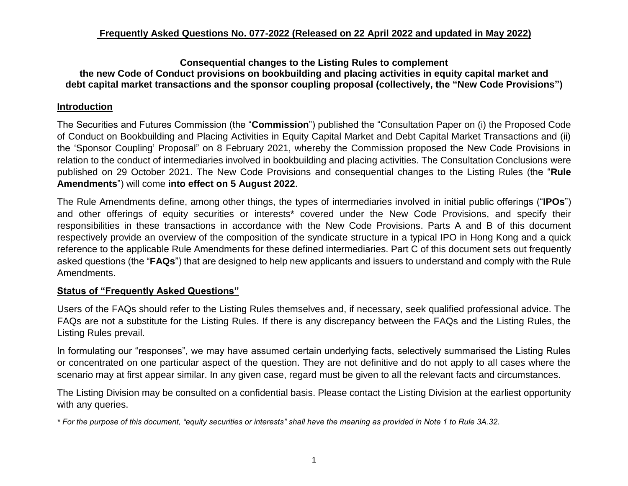#### **Consequential changes to the Listing Rules to complement the new Code of Conduct provisions on bookbuilding and placing activities in equity capital market and debt capital market transactions and the sponsor coupling proposal (collectively, the "New Code Provisions")**

# **Introduction**

The Securities and Futures Commission (the "**Commission**") published the "Consultation Paper on (i) the Proposed Code of Conduct on Bookbuilding and Placing Activities in Equity Capital Market and Debt Capital Market Transactions and (ii) the 'Sponsor Coupling' Proposal" on 8 February 2021, whereby the Commission proposed the New Code Provisions in relation to the conduct of intermediaries involved in bookbuilding and placing activities. The Consultation Conclusions were published on 29 October 2021. The New Code Provisions and consequential changes to the Listing Rules (the "**Rule Amendments**") will come **into effect on 5 August 2022**.

The Rule Amendments define, among other things, the types of intermediaries involved in initial public offerings ("**IPOs**") and other offerings of equity securities or interests\* covered under the New Code Provisions, and specify their responsibilities in these transactions in accordance with the New Code Provisions. Parts A and B of this document respectively provide an overview of the composition of the syndicate structure in a typical IPO in Hong Kong and a quick reference to the applicable Rule Amendments for these defined intermediaries. Part C of this document sets out frequently asked questions (the "**FAQs**") that are designed to help new applicants and issuers to understand and comply with the Rule Amendments.

### **Status of "Frequently Asked Questions"**

Users of the FAQs should refer to the Listing Rules themselves and, if necessary, seek qualified professional advice. The FAQs are not a substitute for the Listing Rules. If there is any discrepancy between the FAQs and the Listing Rules, the Listing Rules prevail.

In formulating our "responses", we may have assumed certain underlying facts, selectively summarised the Listing Rules or concentrated on one particular aspect of the question. They are not definitive and do not apply to all cases where the scenario may at first appear similar. In any given case, regard must be given to all the relevant facts and circumstances.

The Listing Division may be consulted on a confidential basis. Please contact the Listing Division at the earliest opportunity with any queries.

*\* For the purpose of this document, "equity securities or interests" shall have the meaning as provided in Note 1 to Rule 3A.32.*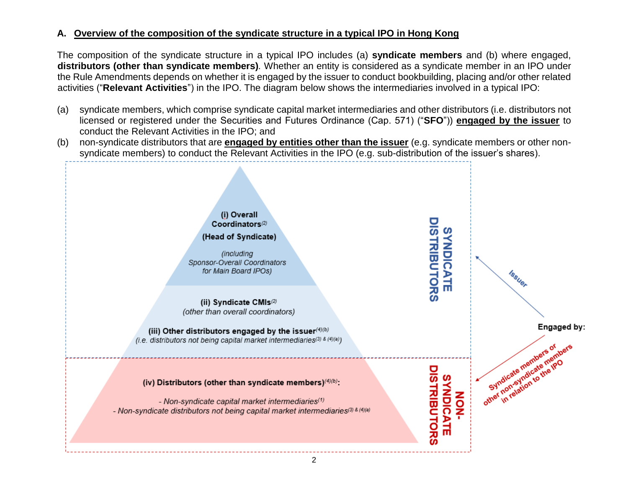# **A. Overview of the composition of the syndicate structure in a typical IPO in Hong Kong**

The composition of the syndicate structure in a typical IPO includes (a) **syndicate members** and (b) where engaged, **distributors (other than syndicate members)***.* Whether an entity is considered as a syndicate member in an IPO under the Rule Amendments depends on whether it is engaged by the issuer to conduct bookbuilding, placing and/or other related activities ("**Relevant Activities**") in the IPO. The diagram below shows the intermediaries involved in a typical IPO:

- (a) syndicate members, which comprise syndicate capital market intermediaries and other distributors (i.e. distributors not licensed or registered under the Securities and Futures Ordinance (Cap. 571) ("**SFO**")) **engaged by the issuer** to conduct the Relevant Activities in the IPO; and
- (b) non-syndicate distributors that are **engaged by entities other than the issuer** (e.g. syndicate members or other nonsyndicate members) to conduct the Relevant Activities in the IPO (e.g. sub-distribution of the issuer's shares).

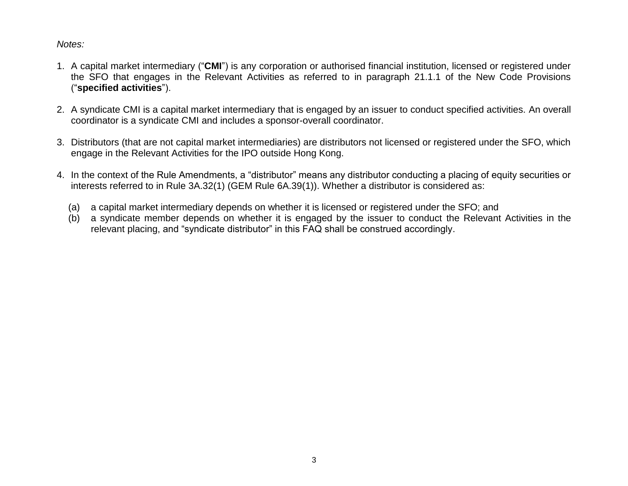#### *Notes:*

- 1. A capital market intermediary ("**CMI**") is any corporation or authorised financial institution, licensed or registered under the SFO that engages in the Relevant Activities as referred to in paragraph 21.1.1 of the New Code Provisions ("**specified activities**").
- 2. A syndicate CMI is a capital market intermediary that is engaged by an issuer to conduct specified activities. An overall coordinator is a syndicate CMI and includes a sponsor-overall coordinator.
- 3. Distributors (that are not capital market intermediaries) are distributors not licensed or registered under the SFO, which engage in the Relevant Activities for the IPO outside Hong Kong.
- 4. In the context of the Rule Amendments, a "distributor" means any distributor conducting a placing of equity securities or interests referred to in Rule 3A.32(1) (GEM Rule 6A.39(1)). Whether a distributor is considered as:
	- (a) a capital market intermediary depends on whether it is licensed or registered under the SFO; and
	- (b) a syndicate member depends on whether it is engaged by the issuer to conduct the Relevant Activities in the relevant placing, and "syndicate distributor" in this FAQ shall be construed accordingly.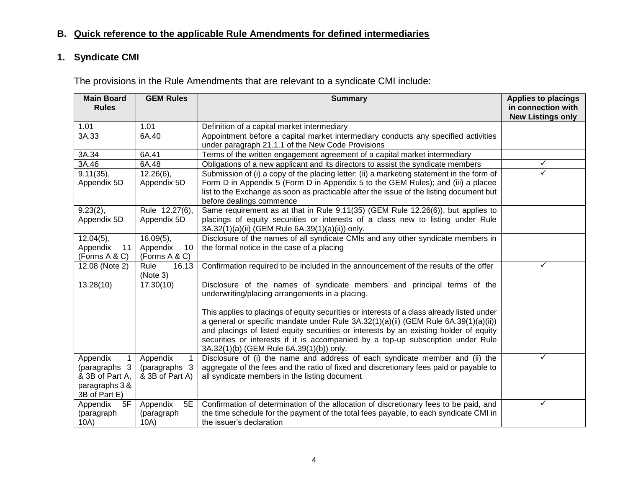# **B. Quick reference to the applicable Rule Amendments for defined intermediaries**

# **1. Syndicate CMI**

The provisions in the Rule Amendments that are relevant to a syndicate CMI include:

| <b>Main Board</b><br><b>Rules</b>                                                     | <b>GEM Rules</b>                             | <b>Summary</b>                                                                                                                                                                                                                                                                                                                                                                                                  | <b>Applies to placings</b><br>in connection with |
|---------------------------------------------------------------------------------------|----------------------------------------------|-----------------------------------------------------------------------------------------------------------------------------------------------------------------------------------------------------------------------------------------------------------------------------------------------------------------------------------------------------------------------------------------------------------------|--------------------------------------------------|
|                                                                                       |                                              |                                                                                                                                                                                                                                                                                                                                                                                                                 | <b>New Listings only</b>                         |
| 1.01                                                                                  | 1.01                                         | Definition of a capital market intermediary                                                                                                                                                                                                                                                                                                                                                                     |                                                  |
| 3A.33                                                                                 | 6A.40                                        | Appointment before a capital market intermediary conducts any specified activities<br>under paragraph 21.1.1 of the New Code Provisions                                                                                                                                                                                                                                                                         |                                                  |
| 3A.34                                                                                 | 6A.41                                        | Terms of the written engagement agreement of a capital market intermediary                                                                                                                                                                                                                                                                                                                                      |                                                  |
| 3A.46                                                                                 | 6A.48                                        | Obligations of a new applicant and its directors to assist the syndicate members                                                                                                                                                                                                                                                                                                                                | ✓                                                |
| 9.11(35),<br>Appendix 5D                                                              | $12.26(6)$ ,<br>Appendix 5D                  | Submission of (i) a copy of the placing letter; (ii) a marketing statement in the form of<br>Form D in Appendix 5 (Form D in Appendix 5 to the GEM Rules); and (iii) a placee<br>list to the Exchange as soon as practicable after the issue of the listing document but<br>before dealings commence                                                                                                            |                                                  |
| 9.23(2),<br>Appendix 5D                                                               | Rule 12.27(6),<br>Appendix 5D                | Same requirement as at that in Rule 9.11(35) (GEM Rule 12.26(6)), but applies to<br>placings of equity securities or interests of a class new to listing under Rule<br>3A.32(1)(a)(ii) (GEM Rule 6A.39(1)(a)(ii)) only.                                                                                                                                                                                         |                                                  |
| $12.04(5)$ ,                                                                          | $16.09(5)$ ,                                 | Disclosure of the names of all syndicate CMIs and any other syndicate members in                                                                                                                                                                                                                                                                                                                                |                                                  |
| Appendix<br>11                                                                        | Appendix<br>10                               | the formal notice in the case of a placing                                                                                                                                                                                                                                                                                                                                                                      |                                                  |
| (Forms A & C)                                                                         | (Forms A & C)                                |                                                                                                                                                                                                                                                                                                                                                                                                                 |                                                  |
| 12.08 (Note 2)                                                                        | Rule<br>16.13<br>(Note 3)                    | Confirmation required to be included in the announcement of the results of the offer                                                                                                                                                                                                                                                                                                                            | ✓                                                |
| 13.28(10)                                                                             | 17.30(10)                                    | Disclosure of the names of syndicate members and principal terms of the<br>underwriting/placing arrangements in a placing.                                                                                                                                                                                                                                                                                      |                                                  |
|                                                                                       |                                              | This applies to placings of equity securities or interests of a class already listed under<br>a general or specific mandate under Rule $3A.32(1)(a)(ii)$ (GEM Rule $6A.39(1)(a)(ii)$ )<br>and placings of listed equity securities or interests by an existing holder of equity<br>securities or interests if it is accompanied by a top-up subscription under Rule<br>3A.32(1)(b) (GEM Rule 6A.39(1)(b)) only. |                                                  |
| Appendix<br>1.<br>(paragraphs 3<br>& 3B of Part A,<br>paragraphs 3 &<br>3B of Part E) | Appendix<br>(paragraphs 3<br>& 3B of Part A) | Disclosure of (i) the name and address of each syndicate member and (ii) the<br>aggregate of the fees and the ratio of fixed and discretionary fees paid or payable to<br>all syndicate members in the listing document                                                                                                                                                                                         |                                                  |
| Appendix<br>5F<br>(paragraph<br>10A)                                                  | Appendix<br>5E<br>(paragraph<br>10A)         | Confirmation of determination of the allocation of discretionary fees to be paid, and<br>the time schedule for the payment of the total fees payable, to each syndicate CMI in<br>the issuer's declaration                                                                                                                                                                                                      | ✓                                                |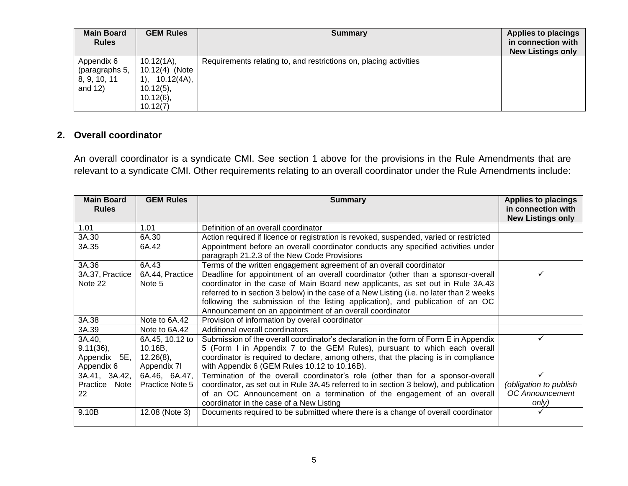| <b>Main Board</b><br><b>Rules</b>                          | <b>GEM Rules</b>                                                                                  | Summary                                                           | <b>Applies to placings</b><br>in connection with<br><b>New Listings only</b> |
|------------------------------------------------------------|---------------------------------------------------------------------------------------------------|-------------------------------------------------------------------|------------------------------------------------------------------------------|
| Appendix 6<br>(paragraphs 5,<br>8, 9, 10, 11<br>and $12$ ) | 10.12(1A),<br>10.12(4) (Note<br>10.12(4A),<br>$(1)$ .<br>$10.12(5)$ ,<br>$10.12(6)$ ,<br>10.12(7) | Requirements relating to, and restrictions on, placing activities |                                                                              |

### **2. Overall coordinator**

An overall coordinator is a syndicate CMI. See section 1 above for the provisions in the Rule Amendments that are relevant to a syndicate CMI. Other requirements relating to an overall coordinator under the Rule Amendments include:

| <b>Main Board</b> | <b>GEM Rules</b> | <b>Summary</b>                                                                           | <b>Applies to placings</b> |
|-------------------|------------------|------------------------------------------------------------------------------------------|----------------------------|
| <b>Rules</b>      |                  |                                                                                          | in connection with         |
|                   |                  |                                                                                          | <b>New Listings only</b>   |
| 1.01              | 1.01             | Definition of an overall coordinator                                                     |                            |
| 3A.30             | 6A.30            | Action required if licence or registration is revoked, suspended, varied or restricted   |                            |
| 3A.35             | 6A.42            | Appointment before an overall coordinator conducts any specified activities under        |                            |
|                   |                  | paragraph 21.2.3 of the New Code Provisions                                              |                            |
| 3A.36             | 6A.43            | Terms of the written engagement agreement of an overall coordinator                      |                            |
| 3A.37, Practice   | 6A.44, Practice  | Deadline for appointment of an overall coordinator (other than a sponsor-overall         |                            |
| Note 22           | Note 5           | coordinator in the case of Main Board new applicants, as set out in Rule 3A.43           |                            |
|                   |                  | referred to in section 3 below) in the case of a New Listing (i.e. no later than 2 weeks |                            |
|                   |                  | following the submission of the listing application), and publication of an OC           |                            |
|                   |                  | Announcement on an appointment of an overall coordinator                                 |                            |
| 3A.38             | Note to 6A.42    | Provision of information by overall coordinator                                          |                            |
| 3A.39             | Note to 6A.42    | Additional overall coordinators                                                          |                            |
| 3A.40,            | 6A.45, 10.12 to  | Submission of the overall coordinator's declaration in the form of Form E in Appendix    |                            |
| $9.11(36)$ ,      | 10.16B,          | 5 (Form I in Appendix 7 to the GEM Rules), pursuant to which each overall                |                            |
| Appendix 5E,      | $12.26(8)$ ,     | coordinator is required to declare, among others, that the placing is in compliance      |                            |
| Appendix 6        | Appendix 71      | with Appendix 6 (GEM Rules 10.12 to 10.16B).                                             |                            |
| 3A.41, 3A.42,     | 6A.46, 6A.47,    | Termination of the overall coordinator's role (other than for a sponsor-overall          |                            |
| Practice Note     | Practice Note 5  | coordinator, as set out in Rule 3A.45 referred to in section 3 below), and publication   | (obligation to publish     |
| 22                |                  | of an OC Announcement on a termination of the engagement of an overall                   | <b>OC Announcement</b>     |
|                   |                  | coordinator in the case of a New Listing                                                 | only)                      |
| 9.10B             | 12.08 (Note 3)   | Documents required to be submitted where there is a change of overall coordinator        |                            |
|                   |                  |                                                                                          |                            |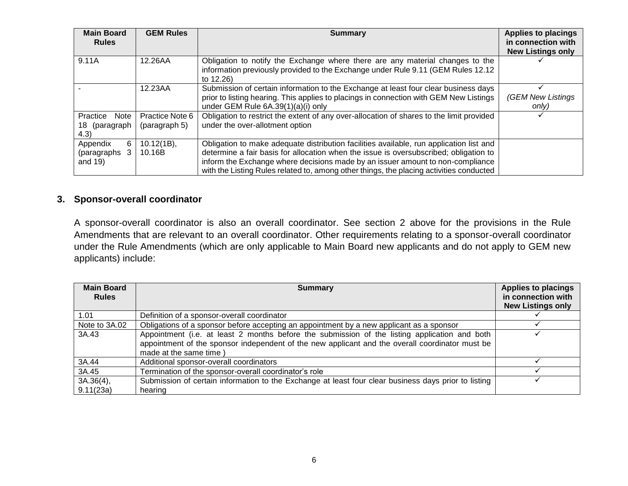| <b>Main Board</b><br><b>Rules</b>              | <b>GEM Rules</b>                 | <b>Summary</b>                                                                                                                                                                                                                                                                                                                                                | <b>Applies to placings</b><br>in connection with<br><b>New Listings only</b> |
|------------------------------------------------|----------------------------------|---------------------------------------------------------------------------------------------------------------------------------------------------------------------------------------------------------------------------------------------------------------------------------------------------------------------------------------------------------------|------------------------------------------------------------------------------|
| 9.11A                                          | 12.26AA                          | Obligation to notify the Exchange where there are any material changes to the<br>information previously provided to the Exchange under Rule 9.11 (GEM Rules 12.12)<br>to 12.26)                                                                                                                                                                               |                                                                              |
|                                                | 12.23AA                          | Submission of certain information to the Exchange at least four clear business days<br>prior to listing hearing. This applies to placings in connection with GEM New Listings<br>under GEM Rule 6A.39(1)(a)(i) only                                                                                                                                           | (GEM New Listings<br>only)                                                   |
| Practice<br>Note<br>(paragraph<br>18 .<br>4.3) | Practice Note 6<br>(paragraph 5) | Obligation to restrict the extent of any over-allocation of shares to the limit provided<br>under the over-allotment option                                                                                                                                                                                                                                   |                                                                              |
| 6.<br>Appendix<br>(paragraphs<br>3<br>and 19)  | $10.12(1B)$ ,<br>10.16B          | Obligation to make adequate distribution facilities available, run application list and<br>determine a fair basis for allocation when the issue is oversubscribed; obligation to<br>inform the Exchange where decisions made by an issuer amount to non-compliance<br>with the Listing Rules related to, among other things, the placing activities conducted |                                                                              |

#### **3. Sponsor-overall coordinator**

A sponsor-overall coordinator is also an overall coordinator. See section 2 above for the provisions in the Rule Amendments that are relevant to an overall coordinator. Other requirements relating to a sponsor-overall coordinator under the Rule Amendments (which are only applicable to Main Board new applicants and do not apply to GEM new applicants) include:

| <b>Main Board</b><br><b>Rules</b> | <b>Summary</b>                                                                                       | <b>Applies to placings</b><br>in connection with<br><b>New Listings only</b> |
|-----------------------------------|------------------------------------------------------------------------------------------------------|------------------------------------------------------------------------------|
| 1.01                              | Definition of a sponsor-overall coordinator                                                          |                                                                              |
| Note to 3A.02                     | Obligations of a sponsor before accepting an appointment by a new applicant as a sponsor             |                                                                              |
| 3A.43                             | Appointment (i.e. at least 2 months before the submission of the listing application and both        |                                                                              |
|                                   | appointment of the sponsor independent of the new applicant and the overall coordinator must be      |                                                                              |
|                                   | made at the same time                                                                                |                                                                              |
| 3A.44                             | Additional sponsor-overall coordinators                                                              |                                                                              |
| 3A.45                             | Termination of the sponsor-overall coordinator's role                                                |                                                                              |
| 3A.36(4),                         | Submission of certain information to the Exchange at least four clear business days prior to listing |                                                                              |
| 9.11(23a)                         | hearing                                                                                              |                                                                              |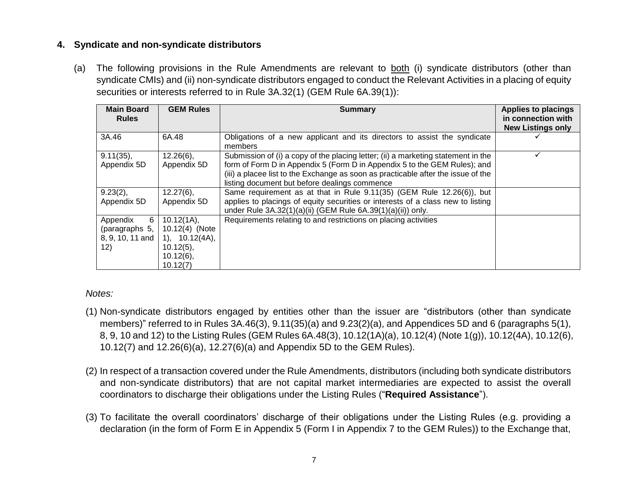# **4. Syndicate and non-syndicate distributors**

(a) The following provisions in the Rule Amendments are relevant to both (i) syndicate distributors (other than syndicate CMIs) and (ii) non-syndicate distributors engaged to conduct the Relevant Activities in a placing of equity securities or interests referred to in Rule 3A.32(1) (GEM Rule 6A.39(1)):

| <b>Main Board</b><br><b>Rules</b>                          | <b>GEM Rules</b>                                                                           | <b>Summary</b>                                                                                                                                                                                                                                                                                       | <b>Applies to placings</b><br>in connection with<br><b>New Listings only</b> |
|------------------------------------------------------------|--------------------------------------------------------------------------------------------|------------------------------------------------------------------------------------------------------------------------------------------------------------------------------------------------------------------------------------------------------------------------------------------------------|------------------------------------------------------------------------------|
| 3A.46                                                      | 6A.48                                                                                      | Obligations of a new applicant and its directors to assist the syndicate<br>members                                                                                                                                                                                                                  |                                                                              |
| $9.11(35)$ ,<br>Appendix 5D                                | $12.26(6)$ ,<br>Appendix 5D                                                                | Submission of (i) a copy of the placing letter; (ii) a marketing statement in the<br>form of Form D in Appendix 5 (Form D in Appendix 5 to the GEM Rules); and<br>(iii) a placee list to the Exchange as soon as practicable after the issue of the<br>listing document but before dealings commence |                                                                              |
| $9.23(2)$ ,<br>Appendix 5D                                 | $12.27(6)$ ,<br>Appendix 5D                                                                | Same requirement as at that in Rule 9.11(35) (GEM Rule 12.26(6)), but<br>applies to placings of equity securities or interests of a class new to listing<br>under Rule 3A.32(1)(a)(ii) (GEM Rule 6A.39(1)(a)(ii)) only.                                                                              |                                                                              |
| 6<br>Appendix<br>(paragraphs 5,<br>8, 9, 10, 11 and<br>12) | 10.12(1A),<br>10.12(4) (Note<br>1), 10.12(4A),<br>$10.12(5)$ ,<br>$10.12(6)$ ,<br>10.12(7) | Requirements relating to and restrictions on placing activities                                                                                                                                                                                                                                      |                                                                              |

#### *Notes:*

- (1) Non-syndicate distributors engaged by entities other than the issuer are "distributors (other than syndicate members)" referred to in Rules 3A.46(3), 9.11(35)(a) and 9.23(2)(a), and Appendices 5D and 6 (paragraphs 5(1), 8, 9, 10 and 12) to the Listing Rules (GEM Rules 6A.48(3), 10.12(1A)(a), 10.12(4) (Note 1(g)), 10.12(4A), 10.12(6), 10.12(7) and 12.26(6)(a), 12.27(6)(a) and Appendix 5D to the GEM Rules).
- (2) In respect of a transaction covered under the Rule Amendments, distributors (including both syndicate distributors and non-syndicate distributors) that are not capital market intermediaries are expected to assist the overall coordinators to discharge their obligations under the Listing Rules ("**Required Assistance**").
- (3) To facilitate the overall coordinators' discharge of their obligations under the Listing Rules (e.g. providing a declaration (in the form of Form E in Appendix 5 (Form I in Appendix 7 to the GEM Rules)) to the Exchange that,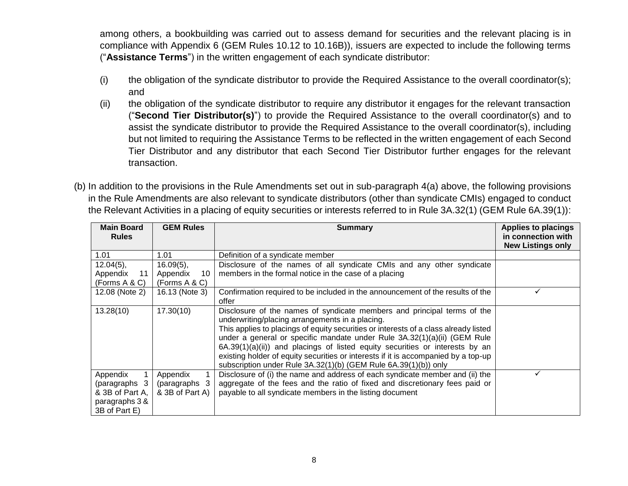among others, a bookbuilding was carried out to assess demand for securities and the relevant placing is in compliance with Appendix 6 (GEM Rules 10.12 to 10.16B)), issuers are expected to include the following terms ("**Assistance Terms**") in the written engagement of each syndicate distributor:

- (i) the obligation of the syndicate distributor to provide the Required Assistance to the overall coordinator(s); and
- (ii) the obligation of the syndicate distributor to require any distributor it engages for the relevant transaction ("**Second Tier Distributor(s)**") to provide the Required Assistance to the overall coordinator(s) and to assist the syndicate distributor to provide the Required Assistance to the overall coordinator(s), including but not limited to requiring the Assistance Terms to be reflected in the written engagement of each Second Tier Distributor and any distributor that each Second Tier Distributor further engages for the relevant transaction.
- (b) In addition to the provisions in the Rule Amendments set out in sub-paragraph 4(a) above, the following provisions in the Rule Amendments are also relevant to syndicate distributors (other than syndicate CMIs) engaged to conduct the Relevant Activities in a placing of equity securities or interests referred to in Rule 3A.32(1) (GEM Rule 6A.39(1)):

| <b>Main Board</b><br><b>Rules</b>                                               | <b>GEM Rules</b>                                | <b>Applies to placings</b><br><b>Summary</b><br>in connection with<br><b>New Listings only</b>                                                                                                                                                                                                                                                                                                                                                                                                                                           |              |  |  |
|---------------------------------------------------------------------------------|-------------------------------------------------|------------------------------------------------------------------------------------------------------------------------------------------------------------------------------------------------------------------------------------------------------------------------------------------------------------------------------------------------------------------------------------------------------------------------------------------------------------------------------------------------------------------------------------------|--------------|--|--|
| 1.01                                                                            | 1.01                                            | Definition of a syndicate member                                                                                                                                                                                                                                                                                                                                                                                                                                                                                                         |              |  |  |
| $12.04(5)$ ,<br>11<br>Appendix<br>(Forms A & C)                                 | $16.09(5)$ ,<br>Appendix<br>10<br>(Forms A & C) | Disclosure of the names of all syndicate CMIs and any other syndicate<br>members in the formal notice in the case of a placing                                                                                                                                                                                                                                                                                                                                                                                                           |              |  |  |
| 12.08 (Note 2)                                                                  | 16.13 (Note 3)                                  | Confirmation required to be included in the announcement of the results of the<br>offer                                                                                                                                                                                                                                                                                                                                                                                                                                                  | $\checkmark$ |  |  |
| 13.28(10)                                                                       | 17.30(10)                                       | Disclosure of the names of syndicate members and principal terms of the<br>underwriting/placing arrangements in a placing.<br>This applies to placings of equity securities or interests of a class already listed<br>under a general or specific mandate under Rule 3A.32(1)(a)(ii) (GEM Rule<br>$6A.39(1)(a)(ii)$ and placings of listed equity securities or interests by an<br>existing holder of equity securities or interests if it is accompanied by a top-up<br>subscription under Rule 3A.32(1)(b) (GEM Rule 6A.39(1)(b)) only |              |  |  |
| Appendix<br>(paragraphs 3<br>& 3B of Part A,<br>paragraphs 3 &<br>3B of Part E) | Appendix<br>(paragraphs 3<br>& 3B of Part A)    | Disclosure of (i) the name and address of each syndicate member and (ii) the<br>aggregate of the fees and the ratio of fixed and discretionary fees paid or<br>payable to all syndicate members in the listing document                                                                                                                                                                                                                                                                                                                  |              |  |  |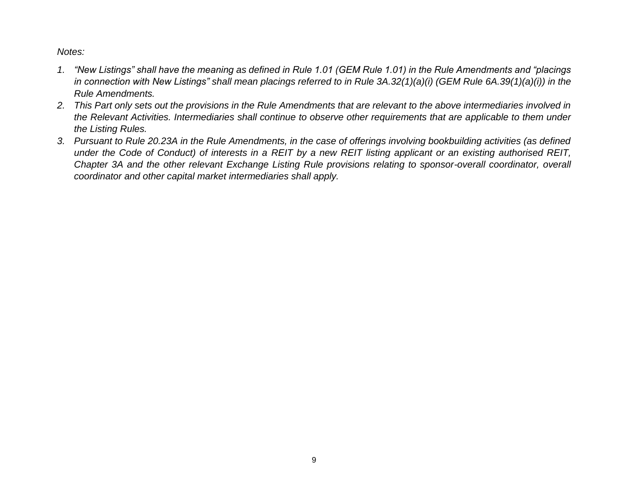*Notes:* 

- *1. "New Listings" shall have the meaning as defined in Rule 1.01 (GEM Rule 1.01) in the Rule Amendments and "placings in connection with New Listings" shall mean placings referred to in Rule 3A.32(1)(a)(i) (GEM Rule 6A.39(1)(a)(i)) in the Rule Amendments.*
- *2. This Part only sets out the provisions in the Rule Amendments that are relevant to the above intermediaries involved in the Relevant Activities. Intermediaries shall continue to observe other requirements that are applicable to them under the Listing Rules.*
- *3. Pursuant to Rule 20.23A in the Rule Amendments, in the case of offerings involving bookbuilding activities (as defined under the Code of Conduct) of interests in a REIT by a new REIT listing applicant or an existing authorised REIT, Chapter 3A and the other relevant Exchange Listing Rule provisions relating to sponsor-overall coordinator, overall coordinator and other capital market intermediaries shall apply.*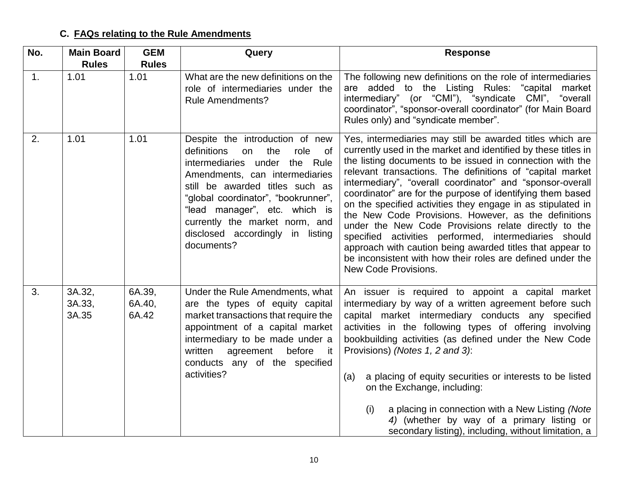# **C. FAQs relating to the Rule Amendments**

| No.            | <b>Main Board</b>         | <b>GEM</b>                | Query                                                                                                                                                                                                                                                                                                                                                 | <b>Response</b>                                                                                                                                                                                                                                                                                                                                                                                                                                                                                                                                                                                                                                                                                                                                                                    |
|----------------|---------------------------|---------------------------|-------------------------------------------------------------------------------------------------------------------------------------------------------------------------------------------------------------------------------------------------------------------------------------------------------------------------------------------------------|------------------------------------------------------------------------------------------------------------------------------------------------------------------------------------------------------------------------------------------------------------------------------------------------------------------------------------------------------------------------------------------------------------------------------------------------------------------------------------------------------------------------------------------------------------------------------------------------------------------------------------------------------------------------------------------------------------------------------------------------------------------------------------|
|                | <b>Rules</b>              | <b>Rules</b>              |                                                                                                                                                                                                                                                                                                                                                       |                                                                                                                                                                                                                                                                                                                                                                                                                                                                                                                                                                                                                                                                                                                                                                                    |
| $\mathbf{1}$ . | 1.01                      | 1.01                      | What are the new definitions on the<br>role of intermediaries under the<br><b>Rule Amendments?</b>                                                                                                                                                                                                                                                    | The following new definitions on the role of intermediaries<br>are added to the Listing Rules: "capital<br>market<br>intermediary" (or "CMI"), "syndicate CMI", "overall<br>coordinator", "sponsor-overall coordinator" (for Main Board<br>Rules only) and "syndicate member".                                                                                                                                                                                                                                                                                                                                                                                                                                                                                                     |
| 2.             | 1.01                      | 1.01                      | Despite the introduction of new<br>definitions<br>the<br>role<br><b>of</b><br>on<br>intermediaries under<br>the Rule<br>Amendments, can intermediaries<br>still be awarded titles such as<br>"global coordinator", "bookrunner",<br>"lead manager", etc. which is<br>currently the market norm, and<br>disclosed accordingly in listing<br>documents? | Yes, intermediaries may still be awarded titles which are<br>currently used in the market and identified by these titles in<br>the listing documents to be issued in connection with the<br>relevant transactions. The definitions of "capital market<br>intermediary", "overall coordinator" and "sponsor-overall<br>coordinator" are for the purpose of identifying them based<br>on the specified activities they engage in as stipulated in<br>the New Code Provisions. However, as the definitions<br>under the New Code Provisions relate directly to the<br>specified activities performed, intermediaries should<br>approach with caution being awarded titles that appear to<br>be inconsistent with how their roles are defined under the<br><b>New Code Provisions.</b> |
| 3.             | 3A.32,<br>3A.33,<br>3A.35 | 6A.39,<br>6A.40,<br>6A.42 | Under the Rule Amendments, what<br>are the types of equity capital<br>market transactions that require the<br>appointment of a capital market<br>intermediary to be made under a<br>written<br>before<br>agreement<br>it.<br>conducts any of the specified<br>activities?                                                                             | An issuer is required to appoint a capital market<br>intermediary by way of a written agreement before such<br>capital market intermediary conducts any specified<br>activities in the following types of offering involving<br>bookbuilding activities (as defined under the New Code<br>Provisions) (Notes 1, 2 and 3):<br>a placing of equity securities or interests to be listed<br>(a)<br>on the Exchange, including:<br>a placing in connection with a New Listing (Note<br>(i)<br>4) (whether by way of a primary listing or<br>secondary listing), including, without limitation, a                                                                                                                                                                                       |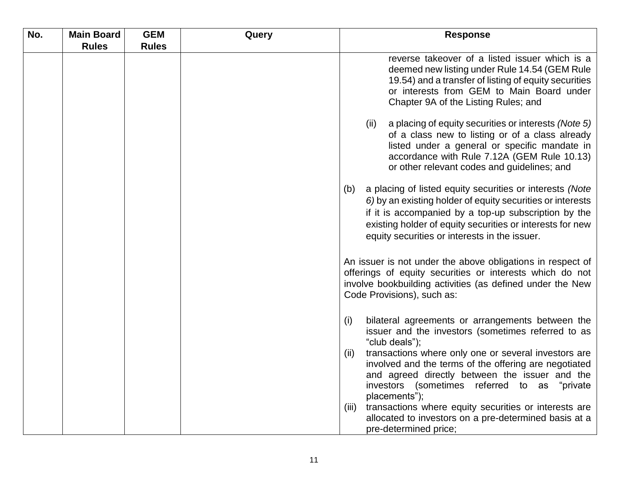| No. | <b>Main Board</b> | <b>GEM</b>   | Query | <b>Response</b>                                                                                                                                                                                                                                                                                     |
|-----|-------------------|--------------|-------|-----------------------------------------------------------------------------------------------------------------------------------------------------------------------------------------------------------------------------------------------------------------------------------------------------|
|     | <b>Rules</b>      | <b>Rules</b> |       |                                                                                                                                                                                                                                                                                                     |
|     |                   |              |       | reverse takeover of a listed issuer which is a<br>deemed new listing under Rule 14.54 (GEM Rule<br>19.54) and a transfer of listing of equity securities<br>or interests from GEM to Main Board under<br>Chapter 9A of the Listing Rules; and                                                       |
|     |                   |              |       | (ii)<br>a placing of equity securities or interests (Note 5)<br>of a class new to listing or of a class already<br>listed under a general or specific mandate in<br>accordance with Rule 7.12A (GEM Rule 10.13)<br>or other relevant codes and guidelines; and                                      |
|     |                   |              |       | a placing of listed equity securities or interests (Note<br>(b)<br>6) by an existing holder of equity securities or interests<br>if it is accompanied by a top-up subscription by the<br>existing holder of equity securities or interests for new<br>equity securities or interests in the issuer. |
|     |                   |              |       | An issuer is not under the above obligations in respect of<br>offerings of equity securities or interests which do not<br>involve bookbuilding activities (as defined under the New<br>Code Provisions), such as:                                                                                   |
|     |                   |              |       | bilateral agreements or arrangements between the<br>(i)<br>issuer and the investors (sometimes referred to as<br>"club deals");                                                                                                                                                                     |
|     |                   |              |       | transactions where only one or several investors are<br>(ii)<br>involved and the terms of the offering are negotiated<br>and agreed directly between the issuer and the<br>investors (sometimes referred to as "private<br>placements");                                                            |
|     |                   |              |       | transactions where equity securities or interests are<br>(iii)<br>allocated to investors on a pre-determined basis at a<br>pre-determined price;                                                                                                                                                    |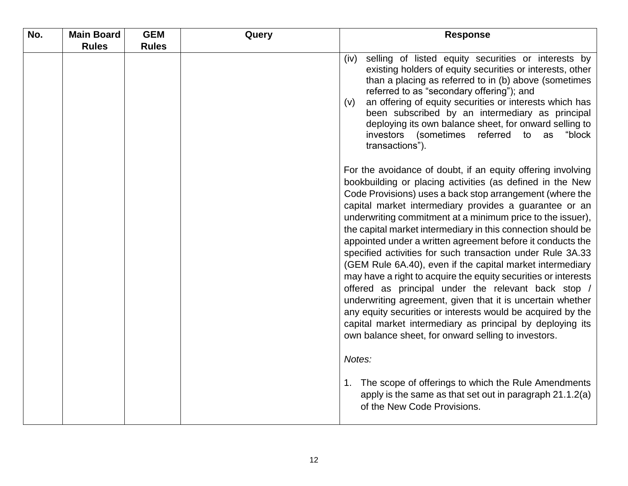| No. | <b>Main Board</b> | <b>GEM</b>   | Query | <b>Response</b>                                                                                                                                                                                                                                                                                                                                                                                                                                                                                                                                                                                                                                                                                                                                                                                                                                                                                                                                 |
|-----|-------------------|--------------|-------|-------------------------------------------------------------------------------------------------------------------------------------------------------------------------------------------------------------------------------------------------------------------------------------------------------------------------------------------------------------------------------------------------------------------------------------------------------------------------------------------------------------------------------------------------------------------------------------------------------------------------------------------------------------------------------------------------------------------------------------------------------------------------------------------------------------------------------------------------------------------------------------------------------------------------------------------------|
|     | <b>Rules</b>      | <b>Rules</b> |       |                                                                                                                                                                                                                                                                                                                                                                                                                                                                                                                                                                                                                                                                                                                                                                                                                                                                                                                                                 |
|     |                   |              |       | selling of listed equity securities or interests by<br>(iv)<br>existing holders of equity securities or interests, other<br>than a placing as referred to in (b) above (sometimes<br>referred to as "secondary offering"); and<br>an offering of equity securities or interests which has<br>(v)<br>been subscribed by an intermediary as principal<br>deploying its own balance sheet, for onward selling to<br>investors (sometimes<br>referred to as<br>"block<br>transactions").                                                                                                                                                                                                                                                                                                                                                                                                                                                            |
|     |                   |              |       | For the avoidance of doubt, if an equity offering involving<br>bookbuilding or placing activities (as defined in the New<br>Code Provisions) uses a back stop arrangement (where the<br>capital market intermediary provides a guarantee or an<br>underwriting commitment at a minimum price to the issuer),<br>the capital market intermediary in this connection should be<br>appointed under a written agreement before it conducts the<br>specified activities for such transaction under Rule 3A.33<br>(GEM Rule 6A.40), even if the capital market intermediary<br>may have a right to acquire the equity securities or interests<br>offered as principal under the relevant back stop /<br>underwriting agreement, given that it is uncertain whether<br>any equity securities or interests would be acquired by the<br>capital market intermediary as principal by deploying its<br>own balance sheet, for onward selling to investors. |
|     |                   |              |       | Notes:<br>1. The scope of offerings to which the Rule Amendments<br>apply is the same as that set out in paragraph 21.1.2(a)<br>of the New Code Provisions.                                                                                                                                                                                                                                                                                                                                                                                                                                                                                                                                                                                                                                                                                                                                                                                     |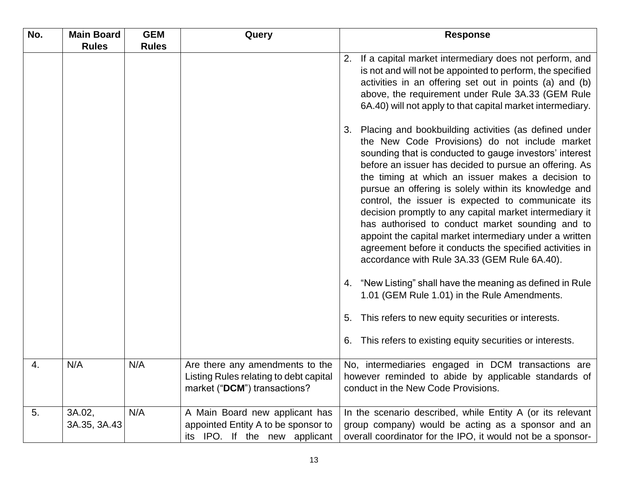| No. | <b>Main Board</b><br><b>Rules</b> | <b>GEM</b><br><b>Rules</b> | Query                                                                                                     | <b>Response</b>                                                                                                                                                                                                                                                                                                                                                                                                                                                                                                                                                                                                                                                                                                                                                                                                                                                                                                                         |
|-----|-----------------------------------|----------------------------|-----------------------------------------------------------------------------------------------------------|-----------------------------------------------------------------------------------------------------------------------------------------------------------------------------------------------------------------------------------------------------------------------------------------------------------------------------------------------------------------------------------------------------------------------------------------------------------------------------------------------------------------------------------------------------------------------------------------------------------------------------------------------------------------------------------------------------------------------------------------------------------------------------------------------------------------------------------------------------------------------------------------------------------------------------------------|
|     |                                   |                            |                                                                                                           | 2. If a capital market intermediary does not perform, and<br>is not and will not be appointed to perform, the specified<br>activities in an offering set out in points (a) and (b)<br>above, the requirement under Rule 3A.33 (GEM Rule<br>6A.40) will not apply to that capital market intermediary.                                                                                                                                                                                                                                                                                                                                                                                                                                                                                                                                                                                                                                   |
|     |                                   |                            |                                                                                                           | Placing and bookbuilding activities (as defined under<br>3.<br>the New Code Provisions) do not include market<br>sounding that is conducted to gauge investors' interest<br>before an issuer has decided to pursue an offering. As<br>the timing at which an issuer makes a decision to<br>pursue an offering is solely within its knowledge and<br>control, the issuer is expected to communicate its<br>decision promptly to any capital market intermediary it<br>has authorised to conduct market sounding and to<br>appoint the capital market intermediary under a written<br>agreement before it conducts the specified activities in<br>accordance with Rule 3A.33 (GEM Rule 6A.40).<br>4. "New Listing" shall have the meaning as defined in Rule<br>1.01 (GEM Rule 1.01) in the Rule Amendments.<br>This refers to new equity securities or interests.<br>5.<br>This refers to existing equity securities or interests.<br>6. |
| 4.  | N/A                               | N/A                        | Are there any amendments to the<br>Listing Rules relating to debt capital<br>market ("DCM") transactions? | No, intermediaries engaged in DCM transactions are<br>however reminded to abide by applicable standards of<br>conduct in the New Code Provisions.                                                                                                                                                                                                                                                                                                                                                                                                                                                                                                                                                                                                                                                                                                                                                                                       |
| 5.  | 3A.02,<br>3A.35, 3A.43            | N/A                        | A Main Board new applicant has<br>appointed Entity A to be sponsor to<br>its IPO. If the new applicant    | In the scenario described, while Entity A (or its relevant<br>group company) would be acting as a sponsor and an<br>overall coordinator for the IPO, it would not be a sponsor-                                                                                                                                                                                                                                                                                                                                                                                                                                                                                                                                                                                                                                                                                                                                                         |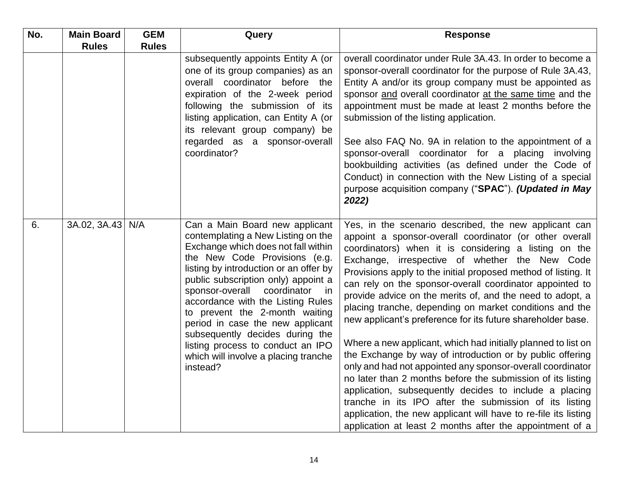| No. | <b>Main Board</b> | <b>GEM</b>   | Query                                                                                                                                                                                                                                                                                                                                                                                                                                                                                                     | <b>Response</b>                                                                                                                                                                                                                                                                                                                                                                                                                                                                                                                                                                                                                                                                                                                                                                                                                                                                                                                                                                                                                                                |
|-----|-------------------|--------------|-----------------------------------------------------------------------------------------------------------------------------------------------------------------------------------------------------------------------------------------------------------------------------------------------------------------------------------------------------------------------------------------------------------------------------------------------------------------------------------------------------------|----------------------------------------------------------------------------------------------------------------------------------------------------------------------------------------------------------------------------------------------------------------------------------------------------------------------------------------------------------------------------------------------------------------------------------------------------------------------------------------------------------------------------------------------------------------------------------------------------------------------------------------------------------------------------------------------------------------------------------------------------------------------------------------------------------------------------------------------------------------------------------------------------------------------------------------------------------------------------------------------------------------------------------------------------------------|
|     | <b>Rules</b>      | <b>Rules</b> |                                                                                                                                                                                                                                                                                                                                                                                                                                                                                                           |                                                                                                                                                                                                                                                                                                                                                                                                                                                                                                                                                                                                                                                                                                                                                                                                                                                                                                                                                                                                                                                                |
|     |                   |              | subsequently appoints Entity A (or<br>one of its group companies) as an<br>overall coordinator before the<br>expiration of the 2-week period<br>following the submission of its<br>listing application, can Entity A (or<br>its relevant group company) be<br>regarded as a sponsor-overall<br>coordinator?                                                                                                                                                                                               | overall coordinator under Rule 3A.43. In order to become a<br>sponsor-overall coordinator for the purpose of Rule 3A.43,<br>Entity A and/or its group company must be appointed as<br>sponsor and overall coordinator at the same time and the<br>appointment must be made at least 2 months before the<br>submission of the listing application.<br>See also FAQ No. 9A in relation to the appointment of a<br>sponsor-overall coordinator for a placing involving<br>bookbuilding activities (as defined under the Code of<br>Conduct) in connection with the New Listing of a special<br>purpose acquisition company ("SPAC"). (Updated in May<br>2022)                                                                                                                                                                                                                                                                                                                                                                                                     |
| 6.  | 3A.02, 3A.43 N/A  |              | Can a Main Board new applicant<br>contemplating a New Listing on the<br>Exchange which does not fall within<br>the New Code Provisions (e.g.<br>listing by introduction or an offer by<br>public subscription only) appoint a<br>sponsor-overall<br>coordinator in<br>accordance with the Listing Rules<br>to prevent the 2-month waiting<br>period in case the new applicant<br>subsequently decides during the<br>listing process to conduct an IPO<br>which will involve a placing tranche<br>instead? | Yes, in the scenario described, the new applicant can<br>appoint a sponsor-overall coordinator (or other overall<br>coordinators) when it is considering a listing on the<br>Exchange, irrespective of whether the New Code<br>Provisions apply to the initial proposed method of listing. It<br>can rely on the sponsor-overall coordinator appointed to<br>provide advice on the merits of, and the need to adopt, a<br>placing tranche, depending on market conditions and the<br>new applicant's preference for its future shareholder base.<br>Where a new applicant, which had initially planned to list on<br>the Exchange by way of introduction or by public offering<br>only and had not appointed any sponsor-overall coordinator<br>no later than 2 months before the submission of its listing<br>application, subsequently decides to include a placing<br>tranche in its IPO after the submission of its listing<br>application, the new applicant will have to re-file its listing<br>application at least 2 months after the appointment of a |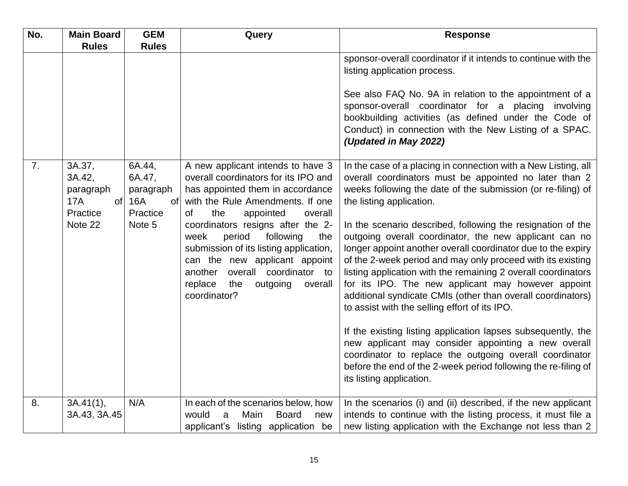| No. | <b>Main Board</b>                                               | <b>GEM</b>                                                        | Query                                                                                                                                                                                                                                            | <b>Response</b>                                                                                                                                                                                                                                                                                                                                                                                                                                                                             |
|-----|-----------------------------------------------------------------|-------------------------------------------------------------------|--------------------------------------------------------------------------------------------------------------------------------------------------------------------------------------------------------------------------------------------------|---------------------------------------------------------------------------------------------------------------------------------------------------------------------------------------------------------------------------------------------------------------------------------------------------------------------------------------------------------------------------------------------------------------------------------------------------------------------------------------------|
|     | <b>Rules</b>                                                    | <b>Rules</b>                                                      |                                                                                                                                                                                                                                                  |                                                                                                                                                                                                                                                                                                                                                                                                                                                                                             |
|     |                                                                 |                                                                   |                                                                                                                                                                                                                                                  | sponsor-overall coordinator if it intends to continue with the<br>listing application process.                                                                                                                                                                                                                                                                                                                                                                                              |
|     |                                                                 |                                                                   |                                                                                                                                                                                                                                                  | See also FAQ No. 9A in relation to the appointment of a<br>sponsor-overall coordinator for a placing involving<br>bookbuilding activities (as defined under the Code of<br>Conduct) in connection with the New Listing of a SPAC.<br>(Updated in May 2022)                                                                                                                                                                                                                                  |
| 7.  | 3A.37,<br>3A.42,<br>paragraph<br><b>17A</b><br>of l<br>Practice | 6A.44,<br>6A.47,<br>paragraph<br>16A<br><sub>of</sub><br>Practice | A new applicant intends to have 3<br>overall coordinators for its IPO and<br>has appointed them in accordance<br>with the Rule Amendments. If one<br>the<br>appointed<br>of<br>overall                                                           | In the case of a placing in connection with a New Listing, all<br>overall coordinators must be appointed no later than 2<br>weeks following the date of the submission (or re-filing) of<br>the listing application.                                                                                                                                                                                                                                                                        |
|     | Note 22                                                         | Note 5                                                            | coordinators resigns after the 2-<br>week<br>period<br>following<br>the<br>submission of its listing application,<br>can the new applicant appoint<br>another<br>overall coordinator to<br>replace<br>the<br>outgoing<br>overall<br>coordinator? | In the scenario described, following the resignation of the<br>outgoing overall coordinator, the new applicant can no<br>longer appoint another overall coordinator due to the expiry<br>of the 2-week period and may only proceed with its existing<br>listing application with the remaining 2 overall coordinators<br>for its IPO. The new applicant may however appoint<br>additional syndicate CMIs (other than overall coordinators)<br>to assist with the selling effort of its IPO. |
|     |                                                                 |                                                                   |                                                                                                                                                                                                                                                  | If the existing listing application lapses subsequently, the<br>new applicant may consider appointing a new overall<br>coordinator to replace the outgoing overall coordinator<br>before the end of the 2-week period following the re-filing of<br>its listing application.                                                                                                                                                                                                                |
| 8.  | 3A.41(1),<br>3A.43, 3A.45                                       | N/A                                                               | In each of the scenarios below, how<br>would<br>Main<br><b>Board</b><br>a<br>new<br>applicant's listing application be                                                                                                                           | In the scenarios (i) and (ii) described, if the new applicant<br>intends to continue with the listing process, it must file a<br>new listing application with the Exchange not less than 2                                                                                                                                                                                                                                                                                                  |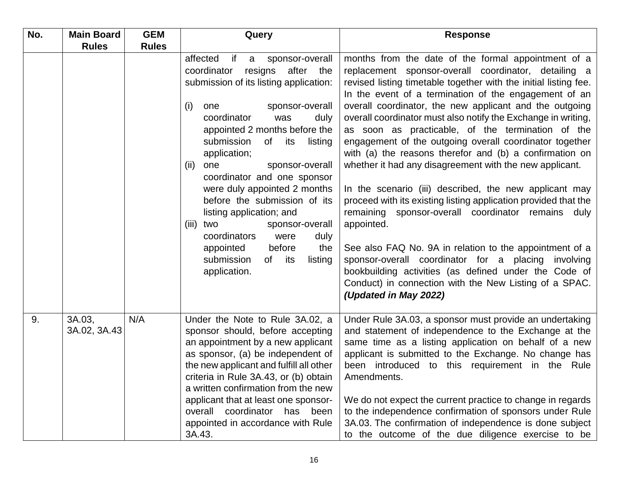| No. | <b>Main Board</b>      | <b>GEM</b>   | Query                                                                                                                                                                                                                                                                                                                                                                                                                                                                                                                                                                                    | <b>Response</b>                                                                                                                                                                                                                                                                                                                                                                                                                                                                                                                                                                                                                                                                                                                                                                                                                                                                                                                                                                                                                                                           |
|-----|------------------------|--------------|------------------------------------------------------------------------------------------------------------------------------------------------------------------------------------------------------------------------------------------------------------------------------------------------------------------------------------------------------------------------------------------------------------------------------------------------------------------------------------------------------------------------------------------------------------------------------------------|---------------------------------------------------------------------------------------------------------------------------------------------------------------------------------------------------------------------------------------------------------------------------------------------------------------------------------------------------------------------------------------------------------------------------------------------------------------------------------------------------------------------------------------------------------------------------------------------------------------------------------------------------------------------------------------------------------------------------------------------------------------------------------------------------------------------------------------------------------------------------------------------------------------------------------------------------------------------------------------------------------------------------------------------------------------------------|
|     | <b>Rules</b>           | <b>Rules</b> |                                                                                                                                                                                                                                                                                                                                                                                                                                                                                                                                                                                          |                                                                                                                                                                                                                                                                                                                                                                                                                                                                                                                                                                                                                                                                                                                                                                                                                                                                                                                                                                                                                                                                           |
|     |                        |              | affected<br>if<br>sponsor-overall<br>a<br>coordinator<br>resigns<br>after the<br>submission of its listing application:<br>(i)<br>sponsor-overall<br>one<br>coordinator<br>was<br>duly<br>appointed 2 months before the<br>submission<br>of its<br>listing<br>application;<br>sponsor-overall<br>(ii)<br>one<br>coordinator and one sponsor<br>were duly appointed 2 months<br>before the submission of its<br>listing application; and<br>sponsor-overall<br>(iii) two<br>coordinators<br>were<br>duly<br>before<br>appointed<br>the<br>submission<br>of its<br>listing<br>application. | months from the date of the formal appointment of a<br>replacement sponsor-overall coordinator, detailing a<br>revised listing timetable together with the initial listing fee.<br>In the event of a termination of the engagement of an<br>overall coordinator, the new applicant and the outgoing<br>overall coordinator must also notify the Exchange in writing,<br>as soon as practicable, of the termination of the<br>engagement of the outgoing overall coordinator together<br>with (a) the reasons therefor and (b) a confirmation on<br>whether it had any disagreement with the new applicant.<br>In the scenario (iii) described, the new applicant may<br>proceed with its existing listing application provided that the<br>remaining sponsor-overall coordinator remains duly<br>appointed.<br>See also FAQ No. 9A in relation to the appointment of a<br>sponsor-overall coordinator for a placing involving<br>bookbuilding activities (as defined under the Code of<br>Conduct) in connection with the New Listing of a SPAC.<br>(Updated in May 2022) |
| 9.  | 3A.03,<br>3A.02, 3A.43 | N/A          | Under the Note to Rule 3A.02, a<br>sponsor should, before accepting<br>an appointment by a new applicant<br>as sponsor, (a) be independent of<br>the new applicant and fulfill all other<br>criteria in Rule 3A.43, or (b) obtain<br>a written confirmation from the new<br>applicant that at least one sponsor-<br>coordinator has been<br>overall<br>appointed in accordance with Rule<br>3A.43.                                                                                                                                                                                       | Under Rule 3A.03, a sponsor must provide an undertaking<br>and statement of independence to the Exchange at the<br>same time as a listing application on behalf of a new<br>applicant is submitted to the Exchange. No change has<br>been introduced to this requirement in the Rule<br>Amendments.<br>We do not expect the current practice to change in regards<br>to the independence confirmation of sponsors under Rule<br>3A.03. The confirmation of independence is done subject<br>to the outcome of the due diligence exercise to be                                                                                                                                                                                                                                                                                                                                                                                                                                                                                                                             |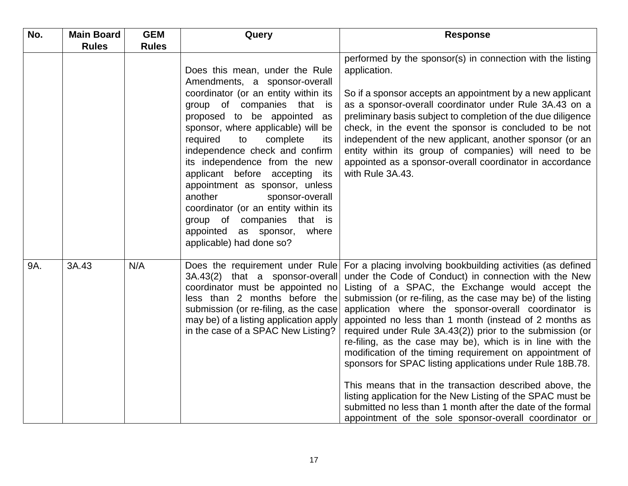| No. | <b>Main Board</b> | <b>GEM</b>   | Query                                                                                                                                                                                                                                                                                                                                                                                                                                                                                                                                                    | <b>Response</b>                                                                                                                                                                                                                                                                                                                                                                                                                                                                                                                                                                                                                                                                                                                                                                                                                                                  |
|-----|-------------------|--------------|----------------------------------------------------------------------------------------------------------------------------------------------------------------------------------------------------------------------------------------------------------------------------------------------------------------------------------------------------------------------------------------------------------------------------------------------------------------------------------------------------------------------------------------------------------|------------------------------------------------------------------------------------------------------------------------------------------------------------------------------------------------------------------------------------------------------------------------------------------------------------------------------------------------------------------------------------------------------------------------------------------------------------------------------------------------------------------------------------------------------------------------------------------------------------------------------------------------------------------------------------------------------------------------------------------------------------------------------------------------------------------------------------------------------------------|
|     | <b>Rules</b>      | <b>Rules</b> |                                                                                                                                                                                                                                                                                                                                                                                                                                                                                                                                                          |                                                                                                                                                                                                                                                                                                                                                                                                                                                                                                                                                                                                                                                                                                                                                                                                                                                                  |
|     |                   |              | Does this mean, under the Rule<br>Amendments, a sponsor-overall<br>coordinator (or an entity within its<br>group of companies that<br>is<br>proposed to be appointed as<br>sponsor, where applicable) will be<br>required<br>complete<br>its<br>to<br>independence check and confirm<br>its independence from the new<br>applicant before accepting its<br>appointment as sponsor, unless<br>another<br>sponsor-overall<br>coordinator (or an entity within its<br>group of companies that is<br>appointed as sponsor, where<br>applicable) had done so? | performed by the sponsor(s) in connection with the listing<br>application.<br>So if a sponsor accepts an appointment by a new applicant<br>as a sponsor-overall coordinator under Rule 3A.43 on a<br>preliminary basis subject to completion of the due diligence<br>check, in the event the sponsor is concluded to be not<br>independent of the new applicant, another sponsor (or an<br>entity within its group of companies) will need to be<br>appointed as a sponsor-overall coordinator in accordance<br>with Rule 3A.43.                                                                                                                                                                                                                                                                                                                                 |
| 9A. | 3A.43             | N/A          | Does the requirement under Rule<br>3A.43(2) that a sponsor-overall<br>coordinator must be appointed no<br>less than 2 months before the<br>submission (or re-filing, as the case<br>may be) of a listing application apply<br>in the case of a SPAC New Listing?                                                                                                                                                                                                                                                                                         | For a placing involving bookbuilding activities (as defined<br>under the Code of Conduct) in connection with the New<br>Listing of a SPAC, the Exchange would accept the<br>submission (or re-filing, as the case may be) of the listing<br>application where the sponsor-overall coordinator is<br>appointed no less than 1 month (instead of 2 months as<br>required under Rule 3A.43(2)) prior to the submission (or<br>re-filing, as the case may be), which is in line with the<br>modification of the timing requirement on appointment of<br>sponsors for SPAC listing applications under Rule 18B.78.<br>This means that in the transaction described above, the<br>listing application for the New Listing of the SPAC must be<br>submitted no less than 1 month after the date of the formal<br>appointment of the sole sponsor-overall coordinator or |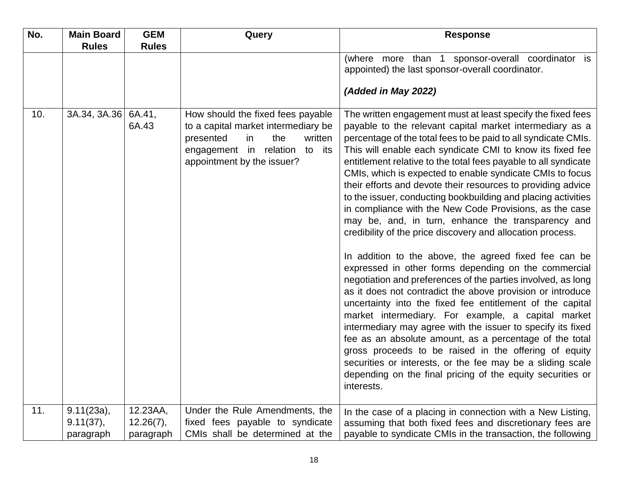| No. | <b>Main Board</b><br><b>Rules</b>       | <b>GEM</b><br><b>Rules</b>         | Query                                                                                                                                                                           | <b>Response</b>                                                                                                                                                                                                                                                                                                                                                                                                                                                                                                                                                                                                                                                                                                                                                                                                                                                                                                                                                                                                                                                                                                                                                                                                                                                                                                                                                                                       |
|-----|-----------------------------------------|------------------------------------|---------------------------------------------------------------------------------------------------------------------------------------------------------------------------------|-------------------------------------------------------------------------------------------------------------------------------------------------------------------------------------------------------------------------------------------------------------------------------------------------------------------------------------------------------------------------------------------------------------------------------------------------------------------------------------------------------------------------------------------------------------------------------------------------------------------------------------------------------------------------------------------------------------------------------------------------------------------------------------------------------------------------------------------------------------------------------------------------------------------------------------------------------------------------------------------------------------------------------------------------------------------------------------------------------------------------------------------------------------------------------------------------------------------------------------------------------------------------------------------------------------------------------------------------------------------------------------------------------|
|     |                                         |                                    |                                                                                                                                                                                 | (where more than 1 sponsor-overall coordinator is<br>appointed) the last sponsor-overall coordinator.<br>(Added in May 2022)                                                                                                                                                                                                                                                                                                                                                                                                                                                                                                                                                                                                                                                                                                                                                                                                                                                                                                                                                                                                                                                                                                                                                                                                                                                                          |
| 10. | 3A.34, 3A.36                            | 6A.41,<br>6A.43                    | How should the fixed fees payable<br>to a capital market intermediary be<br>in<br>the<br>written<br>presented<br>engagement in relation to<br>its<br>appointment by the issuer? | The written engagement must at least specify the fixed fees<br>payable to the relevant capital market intermediary as a<br>percentage of the total fees to be paid to all syndicate CMIs.<br>This will enable each syndicate CMI to know its fixed fee<br>entitlement relative to the total fees payable to all syndicate<br>CMIs, which is expected to enable syndicate CMIs to focus<br>their efforts and devote their resources to providing advice<br>to the issuer, conducting bookbuilding and placing activities<br>in compliance with the New Code Provisions, as the case<br>may be, and, in turn, enhance the transparency and<br>credibility of the price discovery and allocation process.<br>In addition to the above, the agreed fixed fee can be<br>expressed in other forms depending on the commercial<br>negotiation and preferences of the parties involved, as long<br>as it does not contradict the above provision or introduce<br>uncertainty into the fixed fee entitlement of the capital<br>market intermediary. For example, a capital market<br>intermediary may agree with the issuer to specify its fixed<br>fee as an absolute amount, as a percentage of the total<br>gross proceeds to be raised in the offering of equity<br>securities or interests, or the fee may be a sliding scale<br>depending on the final pricing of the equity securities or<br>interests. |
| 11. | $9.11(23a)$ ,<br>9.11(37),<br>paragraph | 12.23AA,<br>12.26(7),<br>paragraph | Under the Rule Amendments, the<br>fixed fees payable to syndicate<br>CMIs shall be determined at the                                                                            | In the case of a placing in connection with a New Listing,<br>assuming that both fixed fees and discretionary fees are<br>payable to syndicate CMIs in the transaction, the following                                                                                                                                                                                                                                                                                                                                                                                                                                                                                                                                                                                                                                                                                                                                                                                                                                                                                                                                                                                                                                                                                                                                                                                                                 |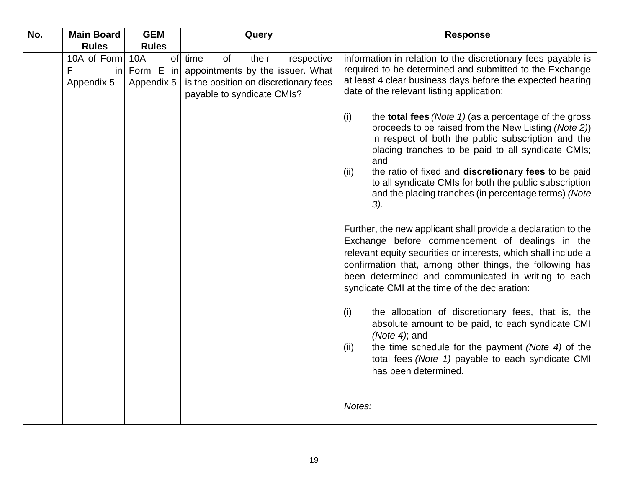| No. | <b>Main Board</b>                      | <b>GEM</b>                                  | Query                                                                                                                                        | <b>Response</b>                                                                                                                                                                                                                                                                                                                                                                                                                                                                                                                                        |
|-----|----------------------------------------|---------------------------------------------|----------------------------------------------------------------------------------------------------------------------------------------------|--------------------------------------------------------------------------------------------------------------------------------------------------------------------------------------------------------------------------------------------------------------------------------------------------------------------------------------------------------------------------------------------------------------------------------------------------------------------------------------------------------------------------------------------------------|
|     | <b>Rules</b>                           | <b>Rules</b>                                |                                                                                                                                              |                                                                                                                                                                                                                                                                                                                                                                                                                                                                                                                                                        |
|     | 10A of Form<br>F<br>in l<br>Appendix 5 | of<br><b>10A</b><br>Form E in<br>Appendix 5 | time<br>of<br>their<br>respective<br>appointments by the issuer. What<br>is the position on discretionary fees<br>payable to syndicate CMIs? | information in relation to the discretionary fees payable is<br>required to be determined and submitted to the Exchange<br>at least 4 clear business days before the expected hearing<br>date of the relevant listing application:                                                                                                                                                                                                                                                                                                                     |
|     |                                        |                                             |                                                                                                                                              | (i)<br>the <b>total fees</b> (Note $1$ ) (as a percentage of the gross<br>proceeds to be raised from the New Listing (Note 2))<br>in respect of both the public subscription and the<br>placing tranches to be paid to all syndicate CMIs;<br>and<br>the ratio of fixed and discretionary fees to be paid<br>(ii)<br>to all syndicate CMIs for both the public subscription<br>and the placing tranches (in percentage terms) (Note<br>3).                                                                                                             |
|     |                                        |                                             |                                                                                                                                              | Further, the new applicant shall provide a declaration to the<br>Exchange before commencement of dealings in the<br>relevant equity securities or interests, which shall include a<br>confirmation that, among other things, the following has<br>been determined and communicated in writing to each<br>syndicate CMI at the time of the declaration:<br>the allocation of discretionary fees, that is, the<br>(i)<br>absolute amount to be paid, to each syndicate CMI<br>(Note 4); and<br>the time schedule for the payment (Note 4) of the<br>(ii) |
|     |                                        |                                             |                                                                                                                                              | total fees (Note 1) payable to each syndicate CMI<br>has been determined.<br>Notes:                                                                                                                                                                                                                                                                                                                                                                                                                                                                    |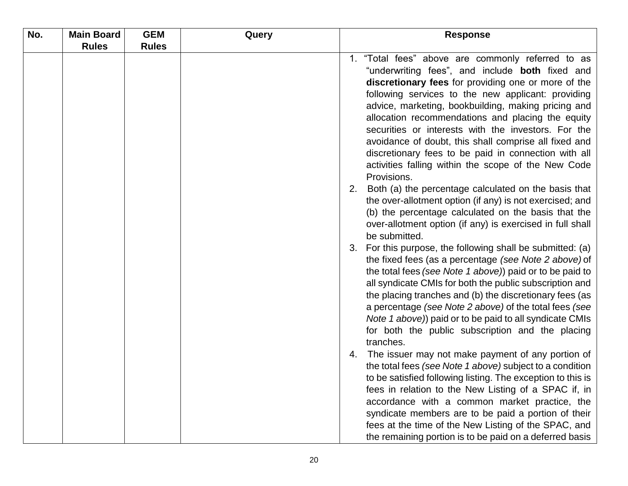| No. | <b>Main Board</b> | <b>GEM</b>   | Query | <b>Response</b>                                                                                                                                                                                                                                                                                                                                                                                                                                                                                                                                                             |
|-----|-------------------|--------------|-------|-----------------------------------------------------------------------------------------------------------------------------------------------------------------------------------------------------------------------------------------------------------------------------------------------------------------------------------------------------------------------------------------------------------------------------------------------------------------------------------------------------------------------------------------------------------------------------|
|     | <b>Rules</b>      | <b>Rules</b> |       |                                                                                                                                                                                                                                                                                                                                                                                                                                                                                                                                                                             |
|     |                   |              |       | "Total fees" above are commonly referred to as<br>$1_{-}$<br>"underwriting fees", and include <b>both</b> fixed and<br>discretionary fees for providing one or more of the<br>following services to the new applicant: providing<br>advice, marketing, bookbuilding, making pricing and<br>allocation recommendations and placing the equity<br>securities or interests with the investors. For the<br>avoidance of doubt, this shall comprise all fixed and<br>discretionary fees to be paid in connection with all<br>activities falling within the scope of the New Code |
|     |                   |              |       | Provisions.<br>Both (a) the percentage calculated on the basis that<br>2.<br>the over-allotment option (if any) is not exercised; and<br>(b) the percentage calculated on the basis that the<br>over-allotment option (if any) is exercised in full shall<br>be submitted.                                                                                                                                                                                                                                                                                                  |
|     |                   |              |       | For this purpose, the following shall be submitted: (a)<br>3.<br>the fixed fees (as a percentage (see Note 2 above) of<br>the total fees (see Note 1 above)) paid or to be paid to<br>all syndicate CMIs for both the public subscription and<br>the placing tranches and (b) the discretionary fees (as<br>a percentage (see Note 2 above) of the total fees (see<br>Note 1 above)) paid or to be paid to all syndicate CMIs<br>for both the public subscription and the placing<br>tranches.                                                                              |
|     |                   |              |       | The issuer may not make payment of any portion of<br>4.<br>the total fees (see Note 1 above) subject to a condition<br>to be satisfied following listing. The exception to this is<br>fees in relation to the New Listing of a SPAC if, in<br>accordance with a common market practice, the<br>syndicate members are to be paid a portion of their<br>fees at the time of the New Listing of the SPAC, and<br>the remaining portion is to be paid on a deferred basis                                                                                                       |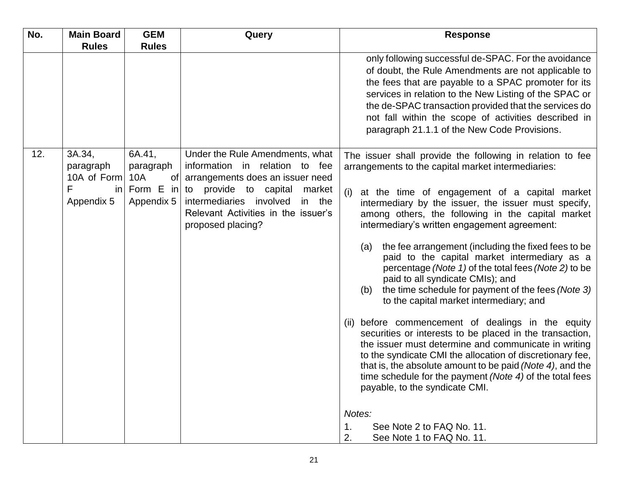| No. | <b>Main Board</b>                                           | <b>GEM</b>                                                    | Query                                                                                                                                                                                                                                     | <b>Response</b>                                                                                                                                                                                                                                                                                                                                                                                                                                                                                                                                                                                                                                        |
|-----|-------------------------------------------------------------|---------------------------------------------------------------|-------------------------------------------------------------------------------------------------------------------------------------------------------------------------------------------------------------------------------------------|--------------------------------------------------------------------------------------------------------------------------------------------------------------------------------------------------------------------------------------------------------------------------------------------------------------------------------------------------------------------------------------------------------------------------------------------------------------------------------------------------------------------------------------------------------------------------------------------------------------------------------------------------------|
|     | <b>Rules</b>                                                | <b>Rules</b>                                                  |                                                                                                                                                                                                                                           |                                                                                                                                                                                                                                                                                                                                                                                                                                                                                                                                                                                                                                                        |
|     |                                                             |                                                               |                                                                                                                                                                                                                                           | only following successful de-SPAC. For the avoidance<br>of doubt, the Rule Amendments are not applicable to<br>the fees that are payable to a SPAC promoter for its<br>services in relation to the New Listing of the SPAC or<br>the de-SPAC transaction provided that the services do<br>not fall within the scope of activities described in<br>paragraph 21.1.1 of the New Code Provisions.                                                                                                                                                                                                                                                         |
| 12. | 3A.34,<br>paragraph<br>10A of Form<br>F<br>in<br>Appendix 5 | 6A.41,<br>paragraph<br>10A<br>Οf<br>Form $E$ in<br>Appendix 5 | Under the Rule Amendments, what<br>information in relation to fee<br>arrangements does an issuer need<br>to provide to capital<br>market<br>intermediaries involved<br>in the<br>Relevant Activities in the issuer's<br>proposed placing? | The issuer shall provide the following in relation to fee<br>arrangements to the capital market intermediaries:<br>at the time of engagement of a capital market<br>(i)<br>intermediary by the issuer, the issuer must specify,<br>among others, the following in the capital market<br>intermediary's written engagement agreement:<br>the fee arrangement (including the fixed fees to be<br>(a)<br>paid to the capital market intermediary as a<br>percentage (Note 1) of the total fees (Note 2) to be<br>paid to all syndicate CMIs); and<br>the time schedule for payment of the fees (Note 3)<br>(b)<br>to the capital market intermediary; and |
|     |                                                             |                                                               |                                                                                                                                                                                                                                           | before commencement of dealings in the equity<br>(ii)<br>securities or interests to be placed in the transaction,<br>the issuer must determine and communicate in writing<br>to the syndicate CMI the allocation of discretionary fee,<br>that is, the absolute amount to be paid (Note 4), and the<br>time schedule for the payment (Note 4) of the total fees<br>payable, to the syndicate CMI.<br>Notes:<br>1.<br>See Note 2 to FAQ No. 11.<br>2.<br>See Note 1 to FAQ No. 11.                                                                                                                                                                      |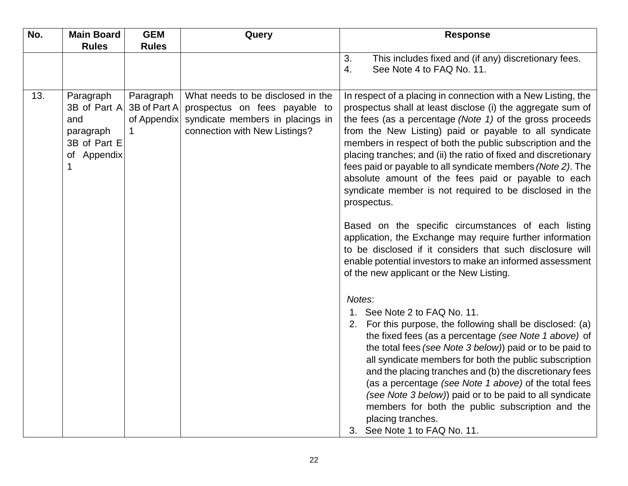| No. | <b>Main Board</b>                                                                 | <b>GEM</b>                               | Query                                                                                                                                   | <b>Response</b>                                                                                                                                                                                                                                                                                                                                                                                                                                                                                                                                                                                                                                                                                                                                                                                                                                                                                                                                                                            |
|-----|-----------------------------------------------------------------------------------|------------------------------------------|-----------------------------------------------------------------------------------------------------------------------------------------|--------------------------------------------------------------------------------------------------------------------------------------------------------------------------------------------------------------------------------------------------------------------------------------------------------------------------------------------------------------------------------------------------------------------------------------------------------------------------------------------------------------------------------------------------------------------------------------------------------------------------------------------------------------------------------------------------------------------------------------------------------------------------------------------------------------------------------------------------------------------------------------------------------------------------------------------------------------------------------------------|
|     | <b>Rules</b>                                                                      | <b>Rules</b>                             |                                                                                                                                         |                                                                                                                                                                                                                                                                                                                                                                                                                                                                                                                                                                                                                                                                                                                                                                                                                                                                                                                                                                                            |
|     |                                                                                   |                                          |                                                                                                                                         | This includes fixed and (if any) discretionary fees.<br>3.<br>4.<br>See Note 4 to FAQ No. 11.                                                                                                                                                                                                                                                                                                                                                                                                                                                                                                                                                                                                                                                                                                                                                                                                                                                                                              |
| 13. | Paragraph<br>3B of Part A<br>and<br>paragraph<br>3B of Part E<br>of Appendix<br>1 | Paragraph<br>3B of Part A<br>of Appendix | What needs to be disclosed in the<br>prospectus on fees payable to<br>syndicate members in placings in<br>connection with New Listings? | In respect of a placing in connection with a New Listing, the<br>prospectus shall at least disclose (i) the aggregate sum of<br>the fees (as a percentage $(Note 1)$ of the gross proceeds<br>from the New Listing) paid or payable to all syndicate<br>members in respect of both the public subscription and the<br>placing tranches; and (ii) the ratio of fixed and discretionary<br>fees paid or payable to all syndicate members (Note 2). The<br>absolute amount of the fees paid or payable to each<br>syndicate member is not required to be disclosed in the<br>prospectus.<br>Based on the specific circumstances of each listing<br>application, the Exchange may require further information<br>to be disclosed if it considers that such disclosure will<br>enable potential investors to make an informed assessment<br>of the new applicant or the New Listing.<br>Notes:<br>1. See Note 2 to FAQ No. 11.<br>For this purpose, the following shall be disclosed: (a)<br>2. |
|     |                                                                                   |                                          |                                                                                                                                         | the fixed fees (as a percentage (see Note 1 above) of<br>the total fees (see Note 3 below)) paid or to be paid to<br>all syndicate members for both the public subscription<br>and the placing tranches and (b) the discretionary fees<br>(as a percentage (see Note 1 above) of the total fees<br>(see Note 3 below)) paid or to be paid to all syndicate<br>members for both the public subscription and the<br>placing tranches.<br>3. See Note 1 to FAQ No. 11.                                                                                                                                                                                                                                                                                                                                                                                                                                                                                                                        |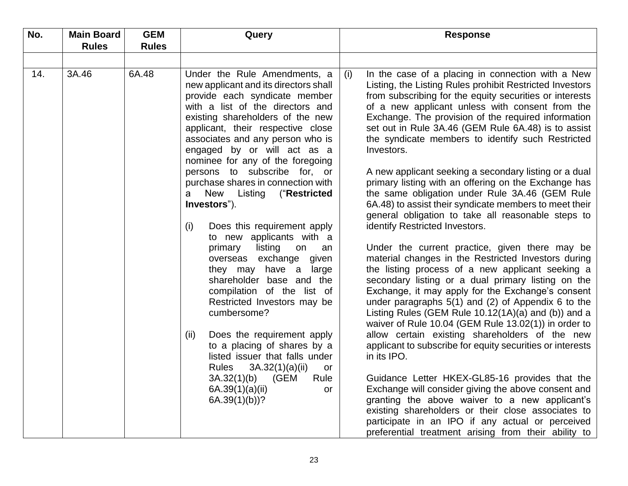| No. | <b>Main Board</b> | <b>GEM</b>   | Query                                                                                                                                                                                                                                                                                                                                                                                                                                                                                                                                                                                                                                                                                                                                                                                                                                                                                                                                              |     | <b>Response</b>                                                                                                                                                                                                                                                                                                                                                                                                                                                                                                                                                                                                                                                                                                                                                                                                                                                                                                                                                                                                                                                                                                                                                                                                                                                                                                                                                                                                                                                                                                                                                                       |
|-----|-------------------|--------------|----------------------------------------------------------------------------------------------------------------------------------------------------------------------------------------------------------------------------------------------------------------------------------------------------------------------------------------------------------------------------------------------------------------------------------------------------------------------------------------------------------------------------------------------------------------------------------------------------------------------------------------------------------------------------------------------------------------------------------------------------------------------------------------------------------------------------------------------------------------------------------------------------------------------------------------------------|-----|---------------------------------------------------------------------------------------------------------------------------------------------------------------------------------------------------------------------------------------------------------------------------------------------------------------------------------------------------------------------------------------------------------------------------------------------------------------------------------------------------------------------------------------------------------------------------------------------------------------------------------------------------------------------------------------------------------------------------------------------------------------------------------------------------------------------------------------------------------------------------------------------------------------------------------------------------------------------------------------------------------------------------------------------------------------------------------------------------------------------------------------------------------------------------------------------------------------------------------------------------------------------------------------------------------------------------------------------------------------------------------------------------------------------------------------------------------------------------------------------------------------------------------------------------------------------------------------|
|     | <b>Rules</b>      | <b>Rules</b> |                                                                                                                                                                                                                                                                                                                                                                                                                                                                                                                                                                                                                                                                                                                                                                                                                                                                                                                                                    |     |                                                                                                                                                                                                                                                                                                                                                                                                                                                                                                                                                                                                                                                                                                                                                                                                                                                                                                                                                                                                                                                                                                                                                                                                                                                                                                                                                                                                                                                                                                                                                                                       |
|     |                   |              |                                                                                                                                                                                                                                                                                                                                                                                                                                                                                                                                                                                                                                                                                                                                                                                                                                                                                                                                                    |     |                                                                                                                                                                                                                                                                                                                                                                                                                                                                                                                                                                                                                                                                                                                                                                                                                                                                                                                                                                                                                                                                                                                                                                                                                                                                                                                                                                                                                                                                                                                                                                                       |
| 14. | 3A.46             | 6A.48        | Under the Rule Amendments, a<br>new applicant and its directors shall<br>provide each syndicate member<br>with a list of the directors and<br>existing shareholders of the new<br>applicant, their respective close<br>associates and any person who is<br>engaged by or will act as a<br>nominee for any of the foregoing<br>persons to subscribe for, or<br>purchase shares in connection with<br>New<br>Listing<br>("Restricted<br>a<br>Investors").<br>Does this requirement apply<br>(i)<br>to new applicants with a<br>listing<br>primary<br>on<br>an<br>overseas exchange given<br>they may have a large<br>shareholder base and the<br>compilation of the list of<br>Restricted Investors may be<br>cumbersome?<br>Does the requirement apply<br>(ii)<br>to a placing of shares by a<br>listed issuer that falls under<br><b>Rules</b><br>3A.32(1)(a)(ii)<br>or<br>3A.32(1)(b)<br>(GEM<br>Rule<br>6A.39(1)(a)(ii)<br>or<br>$6A.39(1)(b)$ ? | (i) | In the case of a placing in connection with a New<br>Listing, the Listing Rules prohibit Restricted Investors<br>from subscribing for the equity securities or interests<br>of a new applicant unless with consent from the<br>Exchange. The provision of the required information<br>set out in Rule 3A.46 (GEM Rule 6A.48) is to assist<br>the syndicate members to identify such Restricted<br>Investors.<br>A new applicant seeking a secondary listing or a dual<br>primary listing with an offering on the Exchange has<br>the same obligation under Rule 3A.46 (GEM Rule<br>6A.48) to assist their syndicate members to meet their<br>general obligation to take all reasonable steps to<br>identify Restricted Investors.<br>Under the current practice, given there may be<br>material changes in the Restricted Investors during<br>the listing process of a new applicant seeking a<br>secondary listing or a dual primary listing on the<br>Exchange, it may apply for the Exchange's consent<br>under paragraphs $5(1)$ and (2) of Appendix 6 to the<br>Listing Rules (GEM Rule $10.12(1A)(a)$ and (b)) and a<br>waiver of Rule 10.04 (GEM Rule 13.02(1)) in order to<br>allow certain existing shareholders of the new<br>applicant to subscribe for equity securities or interests<br>in its IPO.<br>Guidance Letter HKEX-GL85-16 provides that the<br>Exchange will consider giving the above consent and<br>granting the above waiver to a new applicant's<br>existing shareholders or their close associates to<br>participate in an IPO if any actual or perceived |
|     |                   |              |                                                                                                                                                                                                                                                                                                                                                                                                                                                                                                                                                                                                                                                                                                                                                                                                                                                                                                                                                    |     | preferential treatment arising from their ability to                                                                                                                                                                                                                                                                                                                                                                                                                                                                                                                                                                                                                                                                                                                                                                                                                                                                                                                                                                                                                                                                                                                                                                                                                                                                                                                                                                                                                                                                                                                                  |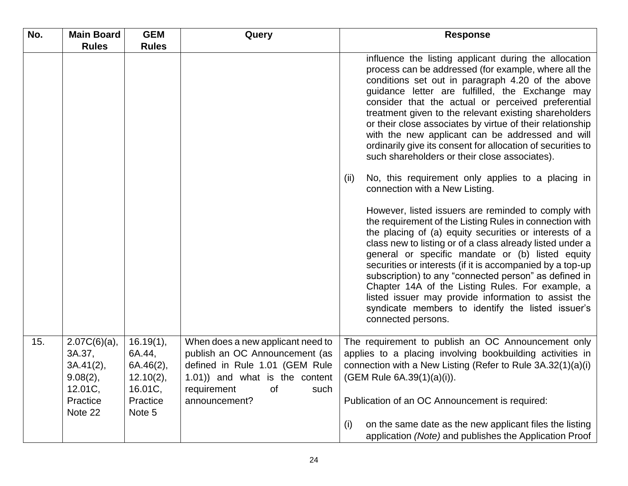| No. | <b>Main Board</b>                                                            | <b>GEM</b>                                                              | Query                                                                                                                                                                                        | <b>Response</b>                                                                                                                                                                                                                                                                                                                                                                                                                                                                                                                                                                                       |
|-----|------------------------------------------------------------------------------|-------------------------------------------------------------------------|----------------------------------------------------------------------------------------------------------------------------------------------------------------------------------------------|-------------------------------------------------------------------------------------------------------------------------------------------------------------------------------------------------------------------------------------------------------------------------------------------------------------------------------------------------------------------------------------------------------------------------------------------------------------------------------------------------------------------------------------------------------------------------------------------------------|
|     | <b>Rules</b>                                                                 | <b>Rules</b>                                                            |                                                                                                                                                                                              |                                                                                                                                                                                                                                                                                                                                                                                                                                                                                                                                                                                                       |
|     |                                                                              |                                                                         |                                                                                                                                                                                              | influence the listing applicant during the allocation<br>process can be addressed (for example, where all the<br>conditions set out in paragraph 4.20 of the above<br>guidance letter are fulfilled, the Exchange may<br>consider that the actual or perceived preferential<br>treatment given to the relevant existing shareholders<br>or their close associates by virtue of their relationship<br>with the new applicant can be addressed and will<br>ordinarily give its consent for allocation of securities to<br>such shareholders or their close associates).                                 |
|     |                                                                              |                                                                         |                                                                                                                                                                                              | No, this requirement only applies to a placing in<br>(ii)<br>connection with a New Listing.                                                                                                                                                                                                                                                                                                                                                                                                                                                                                                           |
|     |                                                                              |                                                                         |                                                                                                                                                                                              | However, listed issuers are reminded to comply with<br>the requirement of the Listing Rules in connection with<br>the placing of (a) equity securities or interests of a<br>class new to listing or of a class already listed under a<br>general or specific mandate or (b) listed equity<br>securities or interests (if it is accompanied by a top-up<br>subscription) to any "connected person" as defined in<br>Chapter 14A of the Listing Rules. For example, a<br>listed issuer may provide information to assist the<br>syndicate members to identify the listed issuer's<br>connected persons. |
| 15. | $2.07C(6)(a)$ ,<br>3A.37,<br>3A.41(2),<br>$9.08(2)$ ,<br>12.01C,<br>Practice | 16.19(1),<br>6A.44,<br>6A.46(2),<br>$12.10(2)$ ,<br>16.01C,<br>Practice | When does a new applicant need to<br>publish an OC Announcement (as<br>defined in Rule 1.01 (GEM Rule<br>1.01)) and what is the content<br>requirement<br><b>of</b><br>such<br>announcement? | The requirement to publish an OC Announcement only<br>applies to a placing involving bookbuilding activities in<br>connection with a New Listing (Refer to Rule 3A.32(1)(a)(i)<br>(GEM Rule 6A.39(1)(a)(i)).<br>Publication of an OC Announcement is required:                                                                                                                                                                                                                                                                                                                                        |
|     | Note 22                                                                      | Note 5                                                                  |                                                                                                                                                                                              | on the same date as the new applicant files the listing<br>(i)<br>application (Note) and publishes the Application Proof                                                                                                                                                                                                                                                                                                                                                                                                                                                                              |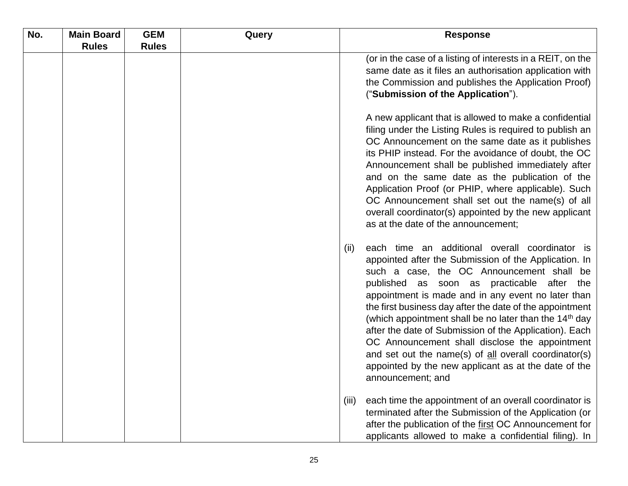| No. | <b>Main Board</b> | <b>GEM</b>   | Query | <b>Response</b>                                                                                                                                                                                                                                                                                                                                                                                                                                                                                                                                                                                                                                      |
|-----|-------------------|--------------|-------|------------------------------------------------------------------------------------------------------------------------------------------------------------------------------------------------------------------------------------------------------------------------------------------------------------------------------------------------------------------------------------------------------------------------------------------------------------------------------------------------------------------------------------------------------------------------------------------------------------------------------------------------------|
|     | <b>Rules</b>      | <b>Rules</b> |       |                                                                                                                                                                                                                                                                                                                                                                                                                                                                                                                                                                                                                                                      |
|     |                   |              |       | (or in the case of a listing of interests in a REIT, on the<br>same date as it files an authorisation application with<br>the Commission and publishes the Application Proof)<br>("Submission of the Application").                                                                                                                                                                                                                                                                                                                                                                                                                                  |
|     |                   |              |       | A new applicant that is allowed to make a confidential<br>filing under the Listing Rules is required to publish an<br>OC Announcement on the same date as it publishes<br>its PHIP instead. For the avoidance of doubt, the OC<br>Announcement shall be published immediately after<br>and on the same date as the publication of the<br>Application Proof (or PHIP, where applicable). Such<br>OC Announcement shall set out the name(s) of all<br>overall coordinator(s) appointed by the new applicant<br>as at the date of the announcement;                                                                                                     |
|     |                   |              |       | each time an additional overall coordinator is<br>(ii)<br>appointed after the Submission of the Application. In<br>such a case, the OC Announcement shall be<br>published as soon as practicable after the<br>appointment is made and in any event no later than<br>the first business day after the date of the appointment<br>(which appointment shall be no later than the 14 <sup>th</sup> day<br>after the date of Submission of the Application). Each<br>OC Announcement shall disclose the appointment<br>and set out the name(s) of all overall coordinator(s)<br>appointed by the new applicant as at the date of the<br>announcement; and |
|     |                   |              |       | each time the appointment of an overall coordinator is<br>(iii)<br>terminated after the Submission of the Application (or<br>after the publication of the first OC Announcement for<br>applicants allowed to make a confidential filing). In                                                                                                                                                                                                                                                                                                                                                                                                         |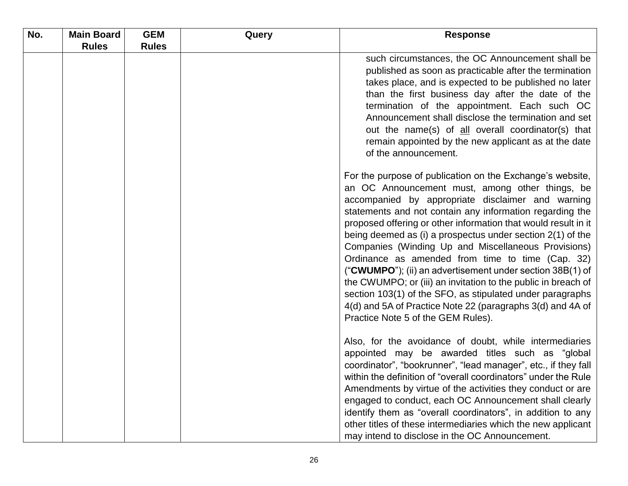| No. | <b>Main Board</b> | <b>GEM</b>   | Query | <b>Response</b>                                                                                                                                                                                                                                                                                                                                                                                                                                                                                                                                                                                                                                                                                                                                                           |
|-----|-------------------|--------------|-------|---------------------------------------------------------------------------------------------------------------------------------------------------------------------------------------------------------------------------------------------------------------------------------------------------------------------------------------------------------------------------------------------------------------------------------------------------------------------------------------------------------------------------------------------------------------------------------------------------------------------------------------------------------------------------------------------------------------------------------------------------------------------------|
|     | <b>Rules</b>      | <b>Rules</b> |       |                                                                                                                                                                                                                                                                                                                                                                                                                                                                                                                                                                                                                                                                                                                                                                           |
|     |                   |              |       | such circumstances, the OC Announcement shall be<br>published as soon as practicable after the termination<br>takes place, and is expected to be published no later<br>than the first business day after the date of the<br>termination of the appointment. Each such OC<br>Announcement shall disclose the termination and set<br>out the name(s) of all overall coordinator(s) that<br>remain appointed by the new applicant as at the date<br>of the announcement.                                                                                                                                                                                                                                                                                                     |
|     |                   |              |       | For the purpose of publication on the Exchange's website,<br>an OC Announcement must, among other things, be<br>accompanied by appropriate disclaimer and warning<br>statements and not contain any information regarding the<br>proposed offering or other information that would result in it<br>being deemed as (i) a prospectus under section $2(1)$ of the<br>Companies (Winding Up and Miscellaneous Provisions)<br>Ordinance as amended from time to time (Cap. 32)<br>("CWUMPO"); (ii) an advertisement under section 38B(1) of<br>the CWUMPO; or (iii) an invitation to the public in breach of<br>section 103(1) of the SFO, as stipulated under paragraphs<br>4(d) and 5A of Practice Note 22 (paragraphs 3(d) and 4A of<br>Practice Note 5 of the GEM Rules). |
|     |                   |              |       | Also, for the avoidance of doubt, while intermediaries<br>appointed may be awarded titles such as "global<br>coordinator", "bookrunner", "lead manager", etc., if they fall<br>within the definition of "overall coordinators" under the Rule<br>Amendments by virtue of the activities they conduct or are<br>engaged to conduct, each OC Announcement shall clearly<br>identify them as "overall coordinators", in addition to any<br>other titles of these intermediaries which the new applicant<br>may intend to disclose in the OC Announcement.                                                                                                                                                                                                                    |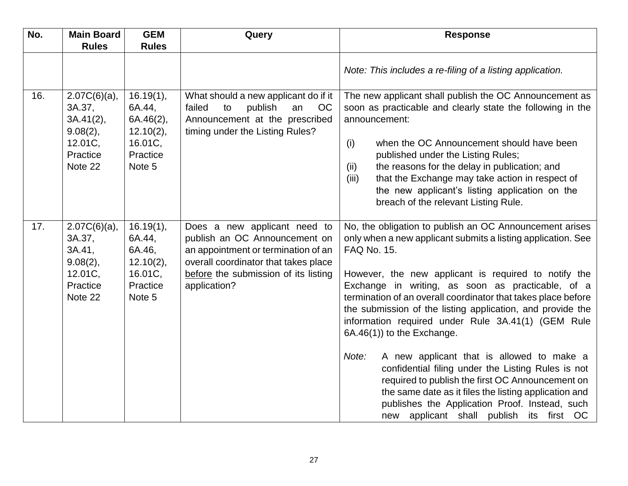| No. | <b>Main Board</b>                                                                    | <b>GEM</b>                                                                     | Query                                                                                                                                                                                                | <b>Response</b>                                                                                                                                                                                                                                                                                                                                                                                                                                                                                                                                                                                                                                                                                                                                                                               |
|-----|--------------------------------------------------------------------------------------|--------------------------------------------------------------------------------|------------------------------------------------------------------------------------------------------------------------------------------------------------------------------------------------------|-----------------------------------------------------------------------------------------------------------------------------------------------------------------------------------------------------------------------------------------------------------------------------------------------------------------------------------------------------------------------------------------------------------------------------------------------------------------------------------------------------------------------------------------------------------------------------------------------------------------------------------------------------------------------------------------------------------------------------------------------------------------------------------------------|
|     | <b>Rules</b>                                                                         | <b>Rules</b>                                                                   |                                                                                                                                                                                                      |                                                                                                                                                                                                                                                                                                                                                                                                                                                                                                                                                                                                                                                                                                                                                                                               |
|     |                                                                                      |                                                                                |                                                                                                                                                                                                      | Note: This includes a re-filing of a listing application.                                                                                                                                                                                                                                                                                                                                                                                                                                                                                                                                                                                                                                                                                                                                     |
| 16. | $2.07C(6)(a)$ ,<br>3A.37,<br>3A.41(2),<br>9.08(2),<br>12.01C,<br>Practice<br>Note 22 | 16.19(1),<br>6A.44,<br>6A.46(2),<br>12.10(2),<br>16.01C,<br>Practice<br>Note 5 | What should a new applicant do if it<br>publish<br>failed<br>to<br>an<br>OC<br>Announcement at the prescribed<br>timing under the Listing Rules?                                                     | The new applicant shall publish the OC Announcement as<br>soon as practicable and clearly state the following in the<br>announcement:<br>when the OC Announcement should have been<br>(i)<br>published under the Listing Rules;<br>the reasons for the delay in publication; and<br>(ii)<br>that the Exchange may take action in respect of<br>(iii)<br>the new applicant's listing application on the<br>breach of the relevant Listing Rule.                                                                                                                                                                                                                                                                                                                                                |
| 17. | $2.07C(6)(a)$ ,<br>3A.37,<br>3A.41,<br>9.08(2),<br>12.01C,<br>Practice<br>Note 22    | 16.19(1),<br>6A.44,<br>6A.46,<br>$12.10(2)$ ,<br>16.01C,<br>Practice<br>Note 5 | Does a new applicant need to<br>publish an OC Announcement on<br>an appointment or termination of an<br>overall coordinator that takes place<br>before the submission of its listing<br>application? | No, the obligation to publish an OC Announcement arises<br>only when a new applicant submits a listing application. See<br>FAQ No. 15.<br>However, the new applicant is required to notify the<br>Exchange in writing, as soon as practicable, of a<br>termination of an overall coordinator that takes place before<br>the submission of the listing application, and provide the<br>information required under Rule 3A.41(1) (GEM Rule<br>6A.46(1)) to the Exchange.<br>A new applicant that is allowed to make a<br>Note:<br>confidential filing under the Listing Rules is not<br>required to publish the first OC Announcement on<br>the same date as it files the listing application and<br>publishes the Application Proof. Instead, such<br>new applicant shall publish its first OC |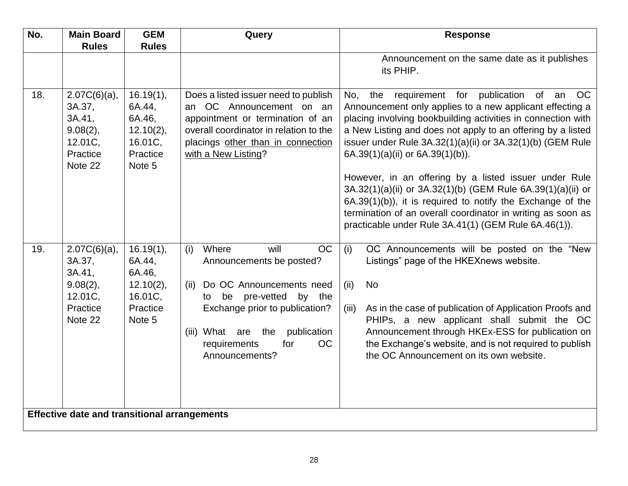| No. | <b>Main Board</b>                                                                 | <b>GEM</b>                                                                     | Query                                                                                                                                                                                                                                                              | <b>Response</b>                                                                                                                                                                                                                                                                                                                                                                                                                                                                                                                                                                                                                                             |  |
|-----|-----------------------------------------------------------------------------------|--------------------------------------------------------------------------------|--------------------------------------------------------------------------------------------------------------------------------------------------------------------------------------------------------------------------------------------------------------------|-------------------------------------------------------------------------------------------------------------------------------------------------------------------------------------------------------------------------------------------------------------------------------------------------------------------------------------------------------------------------------------------------------------------------------------------------------------------------------------------------------------------------------------------------------------------------------------------------------------------------------------------------------------|--|
|     | <b>Rules</b>                                                                      | <b>Rules</b>                                                                   |                                                                                                                                                                                                                                                                    |                                                                                                                                                                                                                                                                                                                                                                                                                                                                                                                                                                                                                                                             |  |
|     |                                                                                   |                                                                                |                                                                                                                                                                                                                                                                    | Announcement on the same date as it publishes<br>its PHIP.                                                                                                                                                                                                                                                                                                                                                                                                                                                                                                                                                                                                  |  |
| 18. | $2.07C(6)(a)$ ,<br>3A.37,<br>3A.41,<br>9.08(2),<br>12.01C,<br>Practice<br>Note 22 | 16.19(1),<br>6A.44,<br>6A.46,<br>$12.10(2)$ ,<br>16.01C,<br>Practice<br>Note 5 | Does a listed issuer need to publish<br>an OC Announcement on an<br>appointment or termination of an<br>overall coordinator in relation to the<br>placings other than in connection<br>with a New Listing?                                                         | No, the requirement for publication of an OC<br>Announcement only applies to a new applicant effecting a<br>placing involving bookbuilding activities in connection with<br>a New Listing and does not apply to an offering by a listed<br>issuer under Rule 3A.32(1)(a)(ii) or 3A.32(1)(b) (GEM Rule<br>$6A.39(1)(a)(ii)$ or $6A.39(1)(b)$ ).<br>However, in an offering by a listed issuer under Rule<br>3A.32(1)(a)(ii) or 3A.32(1)(b) (GEM Rule 6A.39(1)(a)(ii) or<br>6A.39(1)(b)), it is required to notify the Exchange of the<br>termination of an overall coordinator in writing as soon as<br>practicable under Rule 3A.41(1) (GEM Rule 6A.46(1)). |  |
| 19. | $2.07C(6)(a)$ ,<br>3A.37,<br>3A.41,<br>9.08(2),<br>12.01C,<br>Practice<br>Note 22 | 16.19(1),<br>6A.44,<br>6A.46,<br>$12.10(2)$ ,<br>16.01C,<br>Practice<br>Note 5 | Where<br><b>OC</b><br>will<br>(i)<br>Announcements be posted?<br>Do OC Announcements need<br>(ii)<br>pre-vetted<br>by the<br>be<br>to<br>Exchange prior to publication?<br>publication<br>(iii) What are the<br><b>OC</b><br>requirements<br>for<br>Announcements? | (i)<br>OC Announcements will be posted on the "New<br>Listings" page of the HKEXnews website.<br><b>No</b><br>(ii)<br>As in the case of publication of Application Proofs and<br>(iii)<br>PHIPs, a new applicant shall submit the OC<br>Announcement through HKEx-ESS for publication on<br>the Exchange's website, and is not required to publish<br>the OC Announcement on its own website.                                                                                                                                                                                                                                                               |  |
|     | <b>Effective date and transitional arrangements</b>                               |                                                                                |                                                                                                                                                                                                                                                                    |                                                                                                                                                                                                                                                                                                                                                                                                                                                                                                                                                                                                                                                             |  |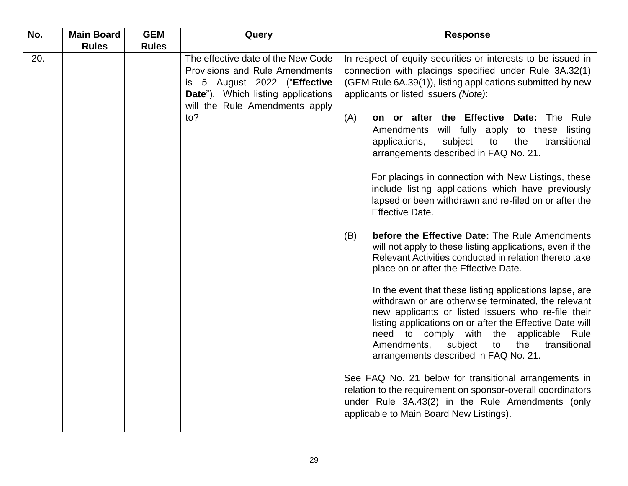| No. | <b>Main Board</b> | <b>GEM</b>   | Query                                                                                                                                         | <b>Response</b>                                                                                                                                                                                                                                                                                                                                                             |  |
|-----|-------------------|--------------|-----------------------------------------------------------------------------------------------------------------------------------------------|-----------------------------------------------------------------------------------------------------------------------------------------------------------------------------------------------------------------------------------------------------------------------------------------------------------------------------------------------------------------------------|--|
| 20. | <b>Rules</b>      | <b>Rules</b> | The effective date of the New Code                                                                                                            | In respect of equity securities or interests to be issued in                                                                                                                                                                                                                                                                                                                |  |
|     |                   |              | Provisions and Rule Amendments<br>is 5 August 2022 ("Effective<br><b>Date").</b> Which listing applications<br>will the Rule Amendments apply | connection with placings specified under Rule 3A.32(1)<br>(GEM Rule 6A.39(1)), listing applications submitted by new<br>applicants or listed issuers (Note):                                                                                                                                                                                                                |  |
|     |                   |              | to?                                                                                                                                           | on or after the Effective Date: The Rule<br>(A)<br>Amendments<br>will fully apply to these listing<br>applications,<br>subject<br>to<br>the<br>transitional<br>arrangements described in FAQ No. 21.                                                                                                                                                                        |  |
|     |                   |              |                                                                                                                                               | For placings in connection with New Listings, these<br>include listing applications which have previously<br>lapsed or been withdrawn and re-filed on or after the<br><b>Effective Date.</b>                                                                                                                                                                                |  |
|     |                   |              |                                                                                                                                               | before the Effective Date: The Rule Amendments<br>(B)<br>will not apply to these listing applications, even if the<br>Relevant Activities conducted in relation thereto take<br>place on or after the Effective Date.                                                                                                                                                       |  |
|     |                   |              |                                                                                                                                               | In the event that these listing applications lapse, are<br>withdrawn or are otherwise terminated, the relevant<br>new applicants or listed issuers who re-file their<br>listing applications on or after the Effective Date will<br>need to comply with the applicable Rule<br>Amendments,<br>subject<br>to<br>the<br>transitional<br>arrangements described in FAQ No. 21. |  |
|     |                   |              |                                                                                                                                               | See FAQ No. 21 below for transitional arrangements in<br>relation to the requirement on sponsor-overall coordinators<br>under Rule 3A.43(2) in the Rule Amendments (only<br>applicable to Main Board New Listings).                                                                                                                                                         |  |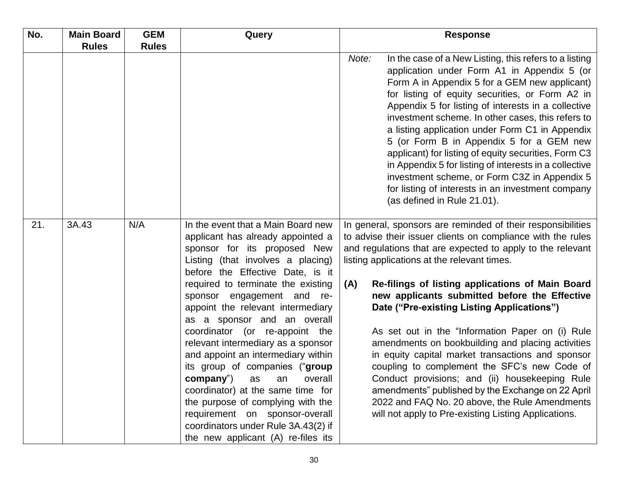| No. | <b>Main Board</b> | <b>GEM</b>   | Query                                                                                                                                                                                                                                                                                                                                                                                                                                                                                                                                                                                                                                                                                                 | <b>Response</b>                                                                                                                                                                                                                                                                                                                                                                                                                                                                                                                                                                                                                                                                                                                                                                                                                  |  |
|-----|-------------------|--------------|-------------------------------------------------------------------------------------------------------------------------------------------------------------------------------------------------------------------------------------------------------------------------------------------------------------------------------------------------------------------------------------------------------------------------------------------------------------------------------------------------------------------------------------------------------------------------------------------------------------------------------------------------------------------------------------------------------|----------------------------------------------------------------------------------------------------------------------------------------------------------------------------------------------------------------------------------------------------------------------------------------------------------------------------------------------------------------------------------------------------------------------------------------------------------------------------------------------------------------------------------------------------------------------------------------------------------------------------------------------------------------------------------------------------------------------------------------------------------------------------------------------------------------------------------|--|
|     | <b>Rules</b>      | <b>Rules</b> |                                                                                                                                                                                                                                                                                                                                                                                                                                                                                                                                                                                                                                                                                                       |                                                                                                                                                                                                                                                                                                                                                                                                                                                                                                                                                                                                                                                                                                                                                                                                                                  |  |
|     |                   |              |                                                                                                                                                                                                                                                                                                                                                                                                                                                                                                                                                                                                                                                                                                       | In the case of a New Listing, this refers to a listing<br>Note:<br>application under Form A1 in Appendix 5 (or<br>Form A in Appendix 5 for a GEM new applicant)<br>for listing of equity securities, or Form A2 in<br>Appendix 5 for listing of interests in a collective<br>investment scheme. In other cases, this refers to<br>a listing application under Form C1 in Appendix<br>5 (or Form B in Appendix 5 for a GEM new<br>applicant) for listing of equity securities, Form C3<br>in Appendix 5 for listing of interests in a collective<br>investment scheme, or Form C3Z in Appendix 5<br>for listing of interests in an investment company<br>(as defined in Rule 21.01).                                                                                                                                              |  |
| 21. | 3A.43             | N/A          | In the event that a Main Board new<br>applicant has already appointed a<br>sponsor for its proposed New<br>Listing (that involves a placing)<br>before the Effective Date, is it<br>required to terminate the existing<br>sponsor engagement and re-<br>appoint the relevant intermediary<br>as a sponsor and an overall<br>coordinator (or re-appoint the<br>relevant intermediary as a sponsor<br>and appoint an intermediary within<br>its group of companies ("group<br>company")<br>overall<br>as<br>an<br>coordinator) at the same time for<br>the purpose of complying with the<br>requirement on sponsor-overall<br>coordinators under Rule 3A.43(2) if<br>the new applicant (A) re-files its | In general, sponsors are reminded of their responsibilities<br>to advise their issuer clients on compliance with the rules<br>and regulations that are expected to apply to the relevant<br>listing applications at the relevant times.<br>Re-filings of listing applications of Main Board<br>(A)<br>new applicants submitted before the Effective<br>Date ("Pre-existing Listing Applications")<br>As set out in the "Information Paper on (i) Rule<br>amendments on bookbuilding and placing activities<br>in equity capital market transactions and sponsor<br>coupling to complement the SFC's new Code of<br>Conduct provisions; and (ii) housekeeping Rule<br>amendments" published by the Exchange on 22 April<br>2022 and FAQ No. 20 above, the Rule Amendments<br>will not apply to Pre-existing Listing Applications. |  |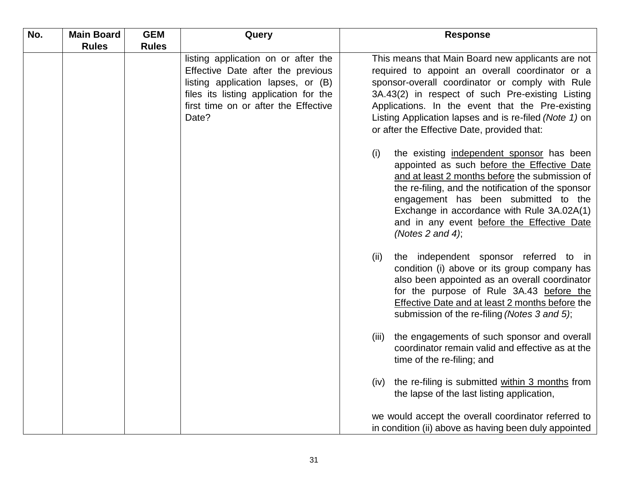| No. | <b>Main Board</b> | <b>GEM</b>   | Query                                                                                                                                                                                                    | <b>Response</b>                                                                                                                                                                                                                                                                                                                                                          |
|-----|-------------------|--------------|----------------------------------------------------------------------------------------------------------------------------------------------------------------------------------------------------------|--------------------------------------------------------------------------------------------------------------------------------------------------------------------------------------------------------------------------------------------------------------------------------------------------------------------------------------------------------------------------|
|     | <b>Rules</b>      | <b>Rules</b> |                                                                                                                                                                                                          |                                                                                                                                                                                                                                                                                                                                                                          |
|     |                   |              | listing application on or after the<br>Effective Date after the previous<br>listing application lapses, or (B)<br>files its listing application for the<br>first time on or after the Effective<br>Date? | This means that Main Board new applicants are not<br>required to appoint an overall coordinator or a<br>sponsor-overall coordinator or comply with Rule<br>3A.43(2) in respect of such Pre-existing Listing<br>Applications. In the event that the Pre-existing<br>Listing Application lapses and is re-filed (Note 1) on<br>or after the Effective Date, provided that: |
|     |                   |              |                                                                                                                                                                                                          | the existing independent sponsor has been<br>(i)<br>appointed as such before the Effective Date<br>and at least 2 months before the submission of<br>the re-filing, and the notification of the sponsor<br>engagement has been submitted to the<br>Exchange in accordance with Rule 3A.02A(1)<br>and in any event before the Effective Date<br>(Notes 2 and 4);          |
|     |                   |              |                                                                                                                                                                                                          | (ii)<br>the independent sponsor referred to in<br>condition (i) above or its group company has<br>also been appointed as an overall coordinator<br>for the purpose of Rule 3A.43 before the<br><b>Effective Date and at least 2 months before the</b><br>submission of the re-filing (Notes 3 and 5);                                                                    |
|     |                   |              |                                                                                                                                                                                                          | the engagements of such sponsor and overall<br>(iii)<br>coordinator remain valid and effective as at the<br>time of the re-filing; and                                                                                                                                                                                                                                   |
|     |                   |              |                                                                                                                                                                                                          | the re-filing is submitted within 3 months from<br>(iv)<br>the lapse of the last listing application,                                                                                                                                                                                                                                                                    |
|     |                   |              |                                                                                                                                                                                                          | we would accept the overall coordinator referred to<br>in condition (ii) above as having been duly appointed                                                                                                                                                                                                                                                             |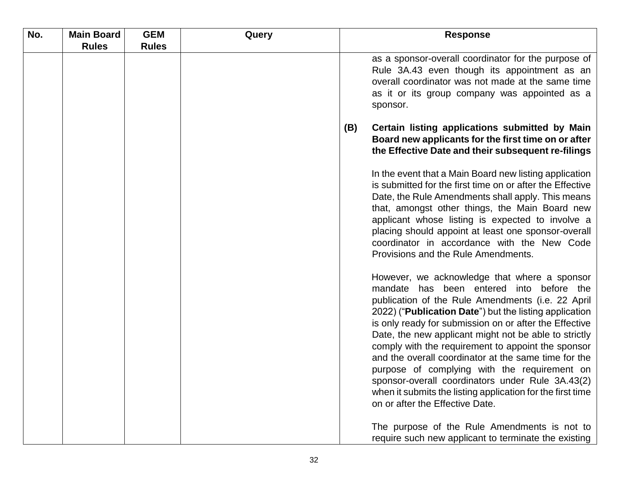| No. | <b>Main Board</b> | <b>GEM</b>   | Query |     | <b>Response</b>                                                                                                                                                                                                                                                                                                                                                                                                                                                                                                                                                                                                                                        |
|-----|-------------------|--------------|-------|-----|--------------------------------------------------------------------------------------------------------------------------------------------------------------------------------------------------------------------------------------------------------------------------------------------------------------------------------------------------------------------------------------------------------------------------------------------------------------------------------------------------------------------------------------------------------------------------------------------------------------------------------------------------------|
|     | <b>Rules</b>      | <b>Rules</b> |       |     |                                                                                                                                                                                                                                                                                                                                                                                                                                                                                                                                                                                                                                                        |
|     |                   |              |       |     | as a sponsor-overall coordinator for the purpose of<br>Rule 3A.43 even though its appointment as an<br>overall coordinator was not made at the same time<br>as it or its group company was appointed as a<br>sponsor.                                                                                                                                                                                                                                                                                                                                                                                                                                  |
|     |                   |              |       | (B) | Certain listing applications submitted by Main<br>Board new applicants for the first time on or after<br>the Effective Date and their subsequent re-filings                                                                                                                                                                                                                                                                                                                                                                                                                                                                                            |
|     |                   |              |       |     | In the event that a Main Board new listing application<br>is submitted for the first time on or after the Effective<br>Date, the Rule Amendments shall apply. This means<br>that, amongst other things, the Main Board new<br>applicant whose listing is expected to involve a<br>placing should appoint at least one sponsor-overall<br>coordinator in accordance with the New Code<br>Provisions and the Rule Amendments.                                                                                                                                                                                                                            |
|     |                   |              |       |     | However, we acknowledge that where a sponsor<br>mandate has been entered into before the<br>publication of the Rule Amendments (i.e. 22 April<br>2022) (" <b>Publication Date</b> ") but the listing application<br>is only ready for submission on or after the Effective<br>Date, the new applicant might not be able to strictly<br>comply with the requirement to appoint the sponsor<br>and the overall coordinator at the same time for the<br>purpose of complying with the requirement on<br>sponsor-overall coordinators under Rule 3A.43(2)<br>when it submits the listing application for the first time<br>on or after the Effective Date. |
|     |                   |              |       |     | The purpose of the Rule Amendments is not to<br>require such new applicant to terminate the existing                                                                                                                                                                                                                                                                                                                                                                                                                                                                                                                                                   |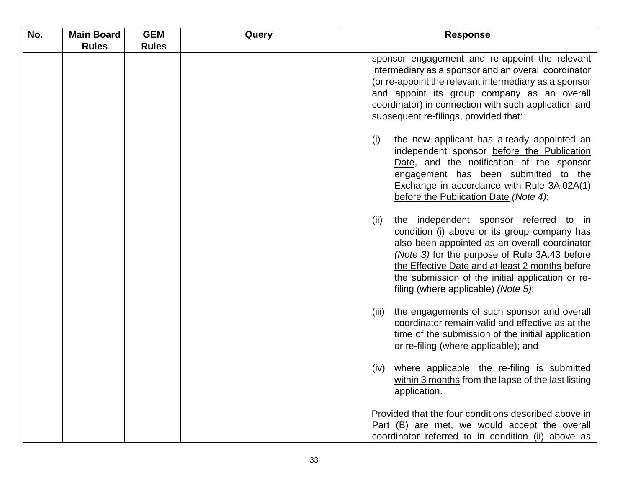| No. | <b>Main Board</b> | <b>GEM</b>   | Query | <b>Response</b>                                                                                                                                                                                                                                                                                                                                |
|-----|-------------------|--------------|-------|------------------------------------------------------------------------------------------------------------------------------------------------------------------------------------------------------------------------------------------------------------------------------------------------------------------------------------------------|
|     | <b>Rules</b>      | <b>Rules</b> |       |                                                                                                                                                                                                                                                                                                                                                |
|     |                   |              |       | sponsor engagement and re-appoint the relevant<br>intermediary as a sponsor and an overall coordinator<br>(or re-appoint the relevant intermediary as a sponsor<br>and appoint its group company as an overall<br>coordinator) in connection with such application and<br>subsequent re-filings, provided that:                                |
|     |                   |              |       | the new applicant has already appointed an<br>(i)<br>independent sponsor before the Publication<br>Date, and the notification of the sponsor<br>engagement has been submitted to the<br>Exchange in accordance with Rule 3A.02A(1)<br>before the Publication Date (Note 4);                                                                    |
|     |                   |              |       | the independent sponsor referred to in<br>(ii)<br>condition (i) above or its group company has<br>also been appointed as an overall coordinator<br>(Note 3) for the purpose of Rule 3A.43 before<br>the Effective Date and at least 2 months before<br>the submission of the initial application or re-<br>filing (where applicable) (Note 5); |
|     |                   |              |       | the engagements of such sponsor and overall<br>(iii)<br>coordinator remain valid and effective as at the<br>time of the submission of the initial application<br>or re-filing (where applicable); and                                                                                                                                          |
|     |                   |              |       | where applicable, the re-filing is submitted<br>(iv)<br>within 3 months from the lapse of the last listing<br>application.                                                                                                                                                                                                                     |
|     |                   |              |       | Provided that the four conditions described above in<br>Part (B) are met, we would accept the overall<br>coordinator referred to in condition (ii) above as                                                                                                                                                                                    |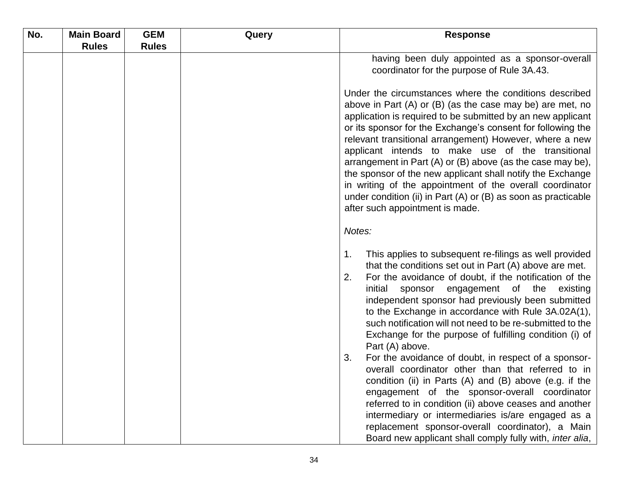| No. | <b>Main Board</b> | <b>GEM</b>   | Query | <b>Response</b>                                                                                                                                                                                                                                                                                                                                                                                                                                                                                                                                                                                                                                                                                                                                                                                                                                                                                                                                              |  |
|-----|-------------------|--------------|-------|--------------------------------------------------------------------------------------------------------------------------------------------------------------------------------------------------------------------------------------------------------------------------------------------------------------------------------------------------------------------------------------------------------------------------------------------------------------------------------------------------------------------------------------------------------------------------------------------------------------------------------------------------------------------------------------------------------------------------------------------------------------------------------------------------------------------------------------------------------------------------------------------------------------------------------------------------------------|--|
|     | <b>Rules</b>      | <b>Rules</b> |       |                                                                                                                                                                                                                                                                                                                                                                                                                                                                                                                                                                                                                                                                                                                                                                                                                                                                                                                                                              |  |
|     |                   |              |       | having been duly appointed as a sponsor-overall                                                                                                                                                                                                                                                                                                                                                                                                                                                                                                                                                                                                                                                                                                                                                                                                                                                                                                              |  |
|     |                   |              |       | coordinator for the purpose of Rule 3A.43.                                                                                                                                                                                                                                                                                                                                                                                                                                                                                                                                                                                                                                                                                                                                                                                                                                                                                                                   |  |
|     |                   |              |       |                                                                                                                                                                                                                                                                                                                                                                                                                                                                                                                                                                                                                                                                                                                                                                                                                                                                                                                                                              |  |
|     |                   |              |       | Under the circumstances where the conditions described<br>above in Part $(A)$ or $(B)$ (as the case may be) are met, no<br>application is required to be submitted by an new applicant<br>or its sponsor for the Exchange's consent for following the<br>relevant transitional arrangement) However, where a new<br>applicant intends to make use of the transitional<br>arrangement in Part (A) or (B) above (as the case may be),<br>the sponsor of the new applicant shall notify the Exchange<br>in writing of the appointment of the overall coordinator<br>under condition (ii) in Part (A) or (B) as soon as practicable<br>after such appointment is made.                                                                                                                                                                                                                                                                                           |  |
|     |                   |              |       | Notes:                                                                                                                                                                                                                                                                                                                                                                                                                                                                                                                                                                                                                                                                                                                                                                                                                                                                                                                                                       |  |
|     |                   |              |       | This applies to subsequent re-filings as well provided<br>1.<br>that the conditions set out in Part (A) above are met.<br>For the avoidance of doubt, if the notification of the<br>2.<br>initial sponsor engagement of the<br>existing<br>independent sponsor had previously been submitted<br>to the Exchange in accordance with Rule 3A.02A(1),<br>such notification will not need to be re-submitted to the<br>Exchange for the purpose of fulfilling condition (i) of<br>Part (A) above.<br>For the avoidance of doubt, in respect of a sponsor-<br>3.<br>overall coordinator other than that referred to in<br>condition (ii) in Parts (A) and (B) above (e.g. if the<br>engagement of the sponsor-overall coordinator<br>referred to in condition (ii) above ceases and another<br>intermediary or intermediaries is/are engaged as a<br>replacement sponsor-overall coordinator), a Main<br>Board new applicant shall comply fully with, inter alia, |  |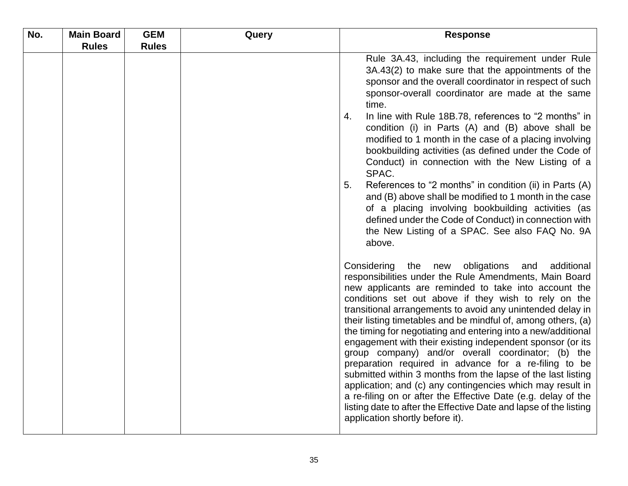| No. | <b>Main Board</b> | <b>GEM</b>   | Query | <b>Response</b>                                                                                                                                                                                                                                                                                                                                                                                                                                                                                                                                                                                                                                                                                                                                                                                                                                                                                                           |
|-----|-------------------|--------------|-------|---------------------------------------------------------------------------------------------------------------------------------------------------------------------------------------------------------------------------------------------------------------------------------------------------------------------------------------------------------------------------------------------------------------------------------------------------------------------------------------------------------------------------------------------------------------------------------------------------------------------------------------------------------------------------------------------------------------------------------------------------------------------------------------------------------------------------------------------------------------------------------------------------------------------------|
|     | <b>Rules</b>      | <b>Rules</b> |       |                                                                                                                                                                                                                                                                                                                                                                                                                                                                                                                                                                                                                                                                                                                                                                                                                                                                                                                           |
|     |                   |              |       | Rule 3A.43, including the requirement under Rule<br>3A.43(2) to make sure that the appointments of the<br>sponsor and the overall coordinator in respect of such<br>sponsor-overall coordinator are made at the same<br>time.<br>In line with Rule 18B.78, references to "2 months" in<br>4.<br>condition (i) in Parts (A) and (B) above shall be<br>modified to 1 month in the case of a placing involving<br>bookbuilding activities (as defined under the Code of<br>Conduct) in connection with the New Listing of a<br>SPAC.<br>References to "2 months" in condition (ii) in Parts (A)<br>5.<br>and (B) above shall be modified to 1 month in the case<br>of a placing involving bookbuilding activities (as<br>defined under the Code of Conduct) in connection with<br>the New Listing of a SPAC. See also FAQ No. 9A                                                                                             |
|     |                   |              |       | above.<br>Considering the new obligations and<br>additional<br>responsibilities under the Rule Amendments, Main Board<br>new applicants are reminded to take into account the<br>conditions set out above if they wish to rely on the<br>transitional arrangements to avoid any unintended delay in<br>their listing timetables and be mindful of, among others, (a)<br>the timing for negotiating and entering into a new/additional<br>engagement with their existing independent sponsor (or its<br>group company) and/or overall coordinator; (b) the<br>preparation required in advance for a re-filing to be<br>submitted within 3 months from the lapse of the last listing<br>application; and (c) any contingencies which may result in<br>a re-filing on or after the Effective Date (e.g. delay of the<br>listing date to after the Effective Date and lapse of the listing<br>application shortly before it). |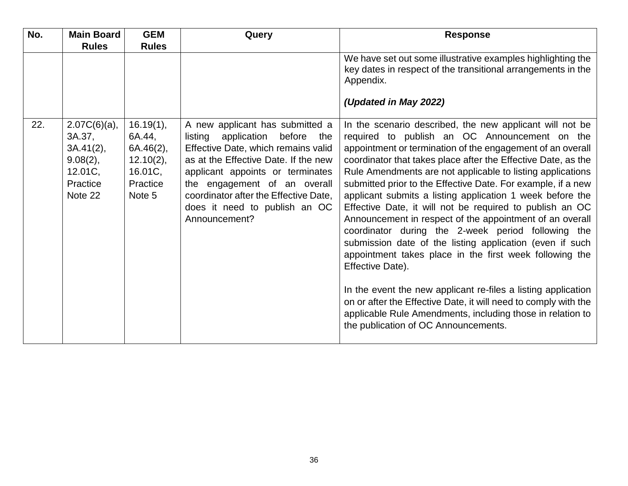| No. | <b>Main Board</b><br><b>Rules</b>                                                          | <b>GEM</b><br><b>Rules</b>                                                              | Query                                                                                                                                                                                                                                                                                                                    | <b>Response</b>                                                                                                                                                                                                                                                                                                                                                                                                                                                                                                                                                                                                                                                                                                                                                                                                                                                                                                                                                                                        |
|-----|--------------------------------------------------------------------------------------------|-----------------------------------------------------------------------------------------|--------------------------------------------------------------------------------------------------------------------------------------------------------------------------------------------------------------------------------------------------------------------------------------------------------------------------|--------------------------------------------------------------------------------------------------------------------------------------------------------------------------------------------------------------------------------------------------------------------------------------------------------------------------------------------------------------------------------------------------------------------------------------------------------------------------------------------------------------------------------------------------------------------------------------------------------------------------------------------------------------------------------------------------------------------------------------------------------------------------------------------------------------------------------------------------------------------------------------------------------------------------------------------------------------------------------------------------------|
|     |                                                                                            |                                                                                         |                                                                                                                                                                                                                                                                                                                          | We have set out some illustrative examples highlighting the<br>key dates in respect of the transitional arrangements in the<br>Appendix.                                                                                                                                                                                                                                                                                                                                                                                                                                                                                                                                                                                                                                                                                                                                                                                                                                                               |
|     |                                                                                            |                                                                                         |                                                                                                                                                                                                                                                                                                                          | (Updated in May 2022)                                                                                                                                                                                                                                                                                                                                                                                                                                                                                                                                                                                                                                                                                                                                                                                                                                                                                                                                                                                  |
| 22. | $2.07C(6)(a)$ ,<br>3A.37,<br>$3A.41(2)$ ,<br>$9.08(2)$ ,<br>12.01C,<br>Practice<br>Note 22 | $16.19(1)$ ,<br>6A.44,<br>$6A.46(2)$ ,<br>$12.10(2)$ ,<br>16.01C,<br>Practice<br>Note 5 | A new applicant has submitted a<br>listing<br>before<br>application<br>the<br>Effective Date, which remains valid<br>as at the Effective Date. If the new<br>applicant appoints or terminates<br>the engagement of an overall<br>coordinator after the Effective Date,<br>does it need to publish an OC<br>Announcement? | In the scenario described, the new applicant will not be<br>required to publish an OC Announcement on the<br>appointment or termination of the engagement of an overall<br>coordinator that takes place after the Effective Date, as the<br>Rule Amendments are not applicable to listing applications<br>submitted prior to the Effective Date. For example, if a new<br>applicant submits a listing application 1 week before the<br>Effective Date, it will not be required to publish an OC<br>Announcement in respect of the appointment of an overall<br>coordinator during the 2-week period following the<br>submission date of the listing application (even if such<br>appointment takes place in the first week following the<br>Effective Date).<br>In the event the new applicant re-files a listing application<br>on or after the Effective Date, it will need to comply with the<br>applicable Rule Amendments, including those in relation to<br>the publication of OC Announcements. |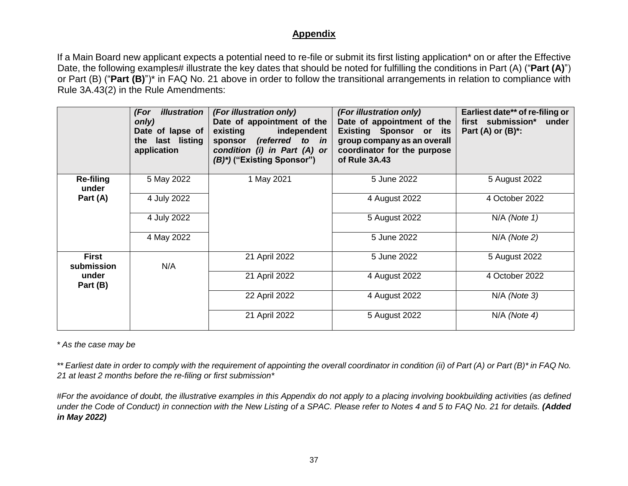#### **Appendix**

If a Main Board new applicant expects a potential need to re-file or submit its first listing application\* on or after the Effective Date, the following examples# illustrate the key dates that should be noted for fulfilling the conditions in Part (A) ("Part (A)") or Part (B) ("**Part (B)**")\* in FAQ No. 21 above in order to follow the transitional arrangements in relation to compliance with Rule 3A.43(2) in the Rule Amendments:

|                            | <i>illustration</i><br>(For<br>only)<br>Date of lapse of<br>the last listing<br>application | (For illustration only)<br>Date of appointment of the<br>independent<br>existing<br>sponsor (referred to in<br>condition (i) in Part (A) or<br>(B)*) ("Existing Sponsor") | (For illustration only)<br>Date of appointment of the<br><b>Existing Sponsor or its</b><br>group company as an overall<br>coordinator for the purpose<br>of Rule 3A.43 | Earliest date** of re-filing or<br>first submission*<br>under<br>Part (A) or $(B)^*$ : |
|----------------------------|---------------------------------------------------------------------------------------------|---------------------------------------------------------------------------------------------------------------------------------------------------------------------------|------------------------------------------------------------------------------------------------------------------------------------------------------------------------|----------------------------------------------------------------------------------------|
| <b>Re-filing</b><br>under  | 5 May 2022                                                                                  | 1 May 2021                                                                                                                                                                | 5 June 2022                                                                                                                                                            | 5 August 2022                                                                          |
| Part (A)                   | 4 July 2022                                                                                 |                                                                                                                                                                           | 4 August 2022                                                                                                                                                          | 4 October 2022                                                                         |
|                            | 4 July 2022                                                                                 |                                                                                                                                                                           | 5 August 2022                                                                                                                                                          | $N/A$ (Note 1)                                                                         |
|                            | 4 May 2022                                                                                  |                                                                                                                                                                           | 5 June 2022                                                                                                                                                            | $N/A$ (Note 2)                                                                         |
| <b>First</b><br>submission | N/A                                                                                         | 21 April 2022                                                                                                                                                             | 5 June 2022                                                                                                                                                            | 5 August 2022                                                                          |
| under<br>Part (B)          |                                                                                             | 21 April 2022                                                                                                                                                             | 4 August 2022                                                                                                                                                          | 4 October 2022                                                                         |
|                            |                                                                                             | 22 April 2022                                                                                                                                                             | 4 August 2022                                                                                                                                                          | $N/A$ (Note 3)                                                                         |
|                            |                                                                                             | 21 April 2022                                                                                                                                                             | 5 August 2022                                                                                                                                                          | $N/A$ (Note 4)                                                                         |

*\* As the case may be*

*\*\* Earliest date in order to comply with the requirement of appointing the overall coordinator in condition (ii) of Part (A) or Part (B)\* in FAQ No. 21 at least 2 months before the re-filing or first submission\**

*#For the avoidance of doubt, the illustrative examples in this Appendix do not apply to a placing involving bookbuilding activities (as defined under the Code of Conduct) in connection with the New Listing of a SPAC. Please refer to Notes 4 and 5 to FAQ No. 21 for details. (Added in May 2022)*